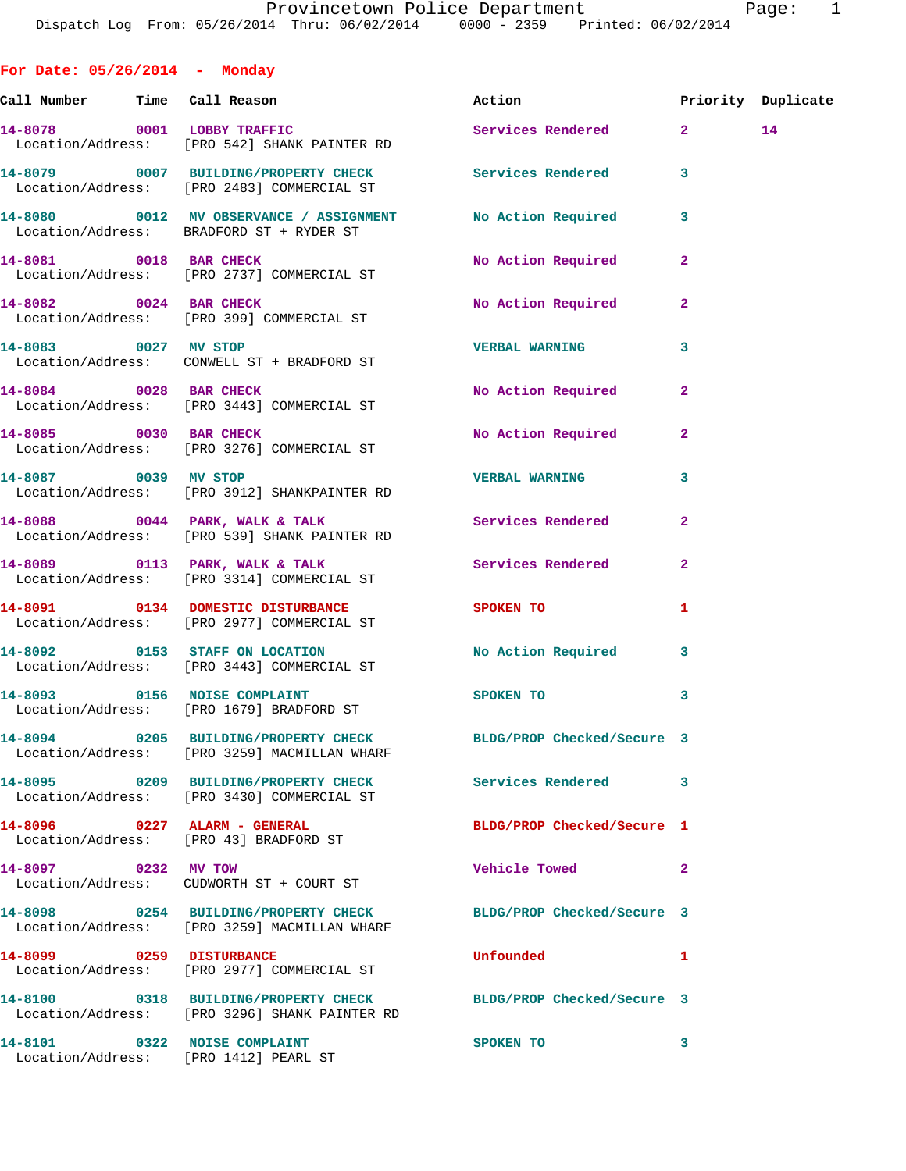**For Date: 05/26/2014 - Monday Call Number Time Call Reason Action Priority Duplicate 14-8078 0001 LOBBY TRAFFIC Services Rendered 2 14**  Location/Address: [PRO 542] SHANK PAINTER RD **14-8079 0007 BUILDING/PROPERTY CHECK Services Rendered 3**  Location/Address: [PRO 2483] COMMERCIAL ST **14-8080 0012 MV OBSERVANCE / ASSIGNMENT No Action Required 3**  Location/Address: BRADFORD ST + RYDER ST **14-8081 0018 BAR CHECK No Action Required 2**  Location/Address: [PRO 2737] COMMERCIAL ST **14-8082 0024 BAR CHECK No Action Required 2**  Location/Address: [PRO 399] COMMERCIAL ST **14-8083 0027 MV STOP VERBAL WARNING 3**  Location/Address: CONWELL ST + BRADFORD ST **14-8084 0028 BAR CHECK No Action Required 2**  Location/Address: [PRO 3443] COMMERCIAL ST 14-8085 0030 BAR CHECK No Required 2 Location/Address: [PRO 3276] COMMERCIAL ST **14-8087 0039 MV STOP VERBAL WARNING 3**  Location/Address: [PRO 3912] SHANKPAINTER RD 14-8088 0044 PARK, WALK & TALK Services Rendered 2 Location/Address: [PRO 539] SHANK PAINTER RD **14-8089 0113 PARK, WALK & TALK Services Rendered 2**  Location/Address: [PRO 3314] COMMERCIAL ST **14-8091 0134 DOMESTIC DISTURBANCE SPOKEN TO 1**  Location/Address: [PRO 2977] COMMERCIAL ST **14-8092 0153 STAFF ON LOCATION No Action Required 3**  Location/Address: [PRO 3443] COMMERCIAL ST 14-8093 0156 NOISE COMPLAINT SPOKEN TO 3 Location/Address: [PRO 1679] BRADFORD ST **14-8094 0205 BUILDING/PROPERTY CHECK BLDG/PROP Checked/Secure 3**  Location/Address: [PRO 3259] MACMILLAN WHARF **14-8095 0209 BUILDING/PROPERTY CHECK Services Rendered 3**  Location/Address: [PRO 3430] COMMERCIAL ST **14-8096 0227 ALARM - GENERAL BLDG/PROP Checked/Secure 1**  Location/Address: [PRO 43] BRADFORD ST **14-8097 0232 MV TOW Vehicle Towed 2**  Location/Address: CUDWORTH ST + COURT ST **14-8098 0254 BUILDING/PROPERTY CHECK BLDG/PROP Checked/Secure 3**  Location/Address: [PRO 3259] MACMILLAN WHARF **14-8099 0259 DISTURBANCE Unfounded 1**  Location/Address: [PRO 2977] COMMERCIAL ST

**14-8100 0318 BUILDING/PROPERTY CHECK BLDG/PROP Checked/Secure 3**  Location/Address: [PRO 3296] SHANK PAINTER RD **14-8101 0322 NOISE COMPLAINT SPOKEN TO 3**  Location/Address: [PRO 1412] PEARL ST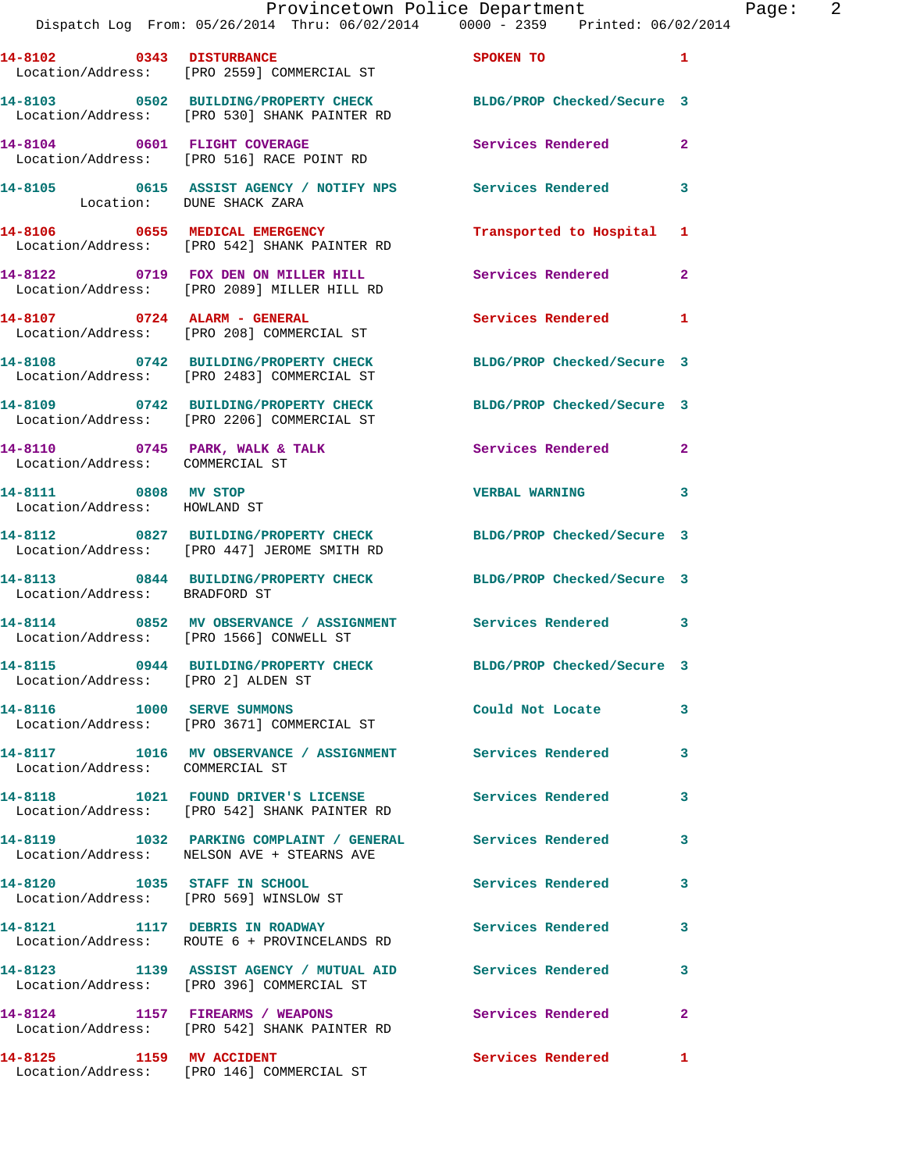|                                                                        | Provincetown Police Department<br>Dispatch Log From: 05/26/2014 Thru: 06/02/2014 0000 - 2359 Printed: 06/02/2014 |                            |                |
|------------------------------------------------------------------------|------------------------------------------------------------------------------------------------------------------|----------------------------|----------------|
| 14-8102 0343 DISTURBANCE                                               | Location/Address: [PRO 2559] COMMERCIAL ST                                                                       | <b>SPOKEN TO</b>           | 1              |
|                                                                        | 14-8103 0502 BUILDING/PROPERTY CHECK BLDG/PROP Checked/Secure 3<br>Location/Address: [PRO 530] SHANK PAINTER RD  |                            |                |
|                                                                        | 14-8104 0601 FLIGHT COVERAGE<br>Location/Address: [PRO 516] RACE POINT RD                                        | Services Rendered          | $\overline{a}$ |
| Location: DUNE SHACK ZARA                                              | 14-8105 0615 ASSIST AGENCY / NOTIFY NPS Services Rendered                                                        |                            | 3              |
|                                                                        | 14-8106 0655 MEDICAL EMERGENCY<br>Location/Address: [PRO 542] SHANK PAINTER RD                                   | Transported to Hospital    | 1              |
|                                                                        | 14-8122 0719 FOX DEN ON MILLER HILL Services Rendered<br>Location/Address: [PRO 2089] MILLER HILL RD             |                            | $\mathbf{2}$   |
| 14-8107 0724 ALARM - GENERAL                                           | Location/Address: [PRO 208] COMMERCIAL ST                                                                        | <b>Services Rendered</b>   | 1              |
|                                                                        | 14-8108 0742 BUILDING/PROPERTY CHECK BLDG/PROP Checked/Secure 3<br>Location/Address: [PRO 2483] COMMERCIAL ST    |                            |                |
|                                                                        | 14-8109 0742 BUILDING/PROPERTY CHECK<br>Location/Address: [PRO 2206] COMMERCIAL ST                               | BLDG/PROP Checked/Secure 3 |                |
| Location/Address: COMMERCIAL ST                                        | 14-8110 0745 PARK, WALK & TALK                                                                                   | <b>Services Rendered</b>   | $\mathbf{2}$   |
| 14-8111 0808 MV STOP<br>Location/Address: HOWLAND ST                   |                                                                                                                  | <b>VERBAL WARNING</b>      | 3              |
|                                                                        | 14-8112 0827 BUILDING/PROPERTY CHECK BLDG/PROP Checked/Secure 3<br>Location/Address: [PRO 447] JEROME SMITH RD   |                            |                |
| Location/Address: BRADFORD ST                                          | 14-8113 0844 BUILDING/PROPERTY CHECK BLDG/PROP Checked/Secure 3                                                  |                            |                |
|                                                                        | 14-8114 0852 MV OBSERVANCE / ASSIGNMENT Services Rendered<br>Location/Address: [PRO 1566] CONWELL ST             |                            | 3              |
| Location/Address: [PRO 2] ALDEN ST                                     | 14-8115       0944  BUILDING/PROPERTY CHECK        BLDG/PROP Checked/Secure 3                                    |                            |                |
|                                                                        | 14-8116 1000 SERVE SUMMONS<br>Location/Address: [PRO 3671] COMMERCIAL ST                                         | Could Not Locate           | 3              |
| Location/Address: COMMERCIAL ST                                        | 14-8117 1016 MV OBSERVANCE / ASSIGNMENT Services Rendered                                                        |                            | 3              |
|                                                                        | 14-8118 1021 FOUND DRIVER'S LICENSE<br>Location/Address: [PRO 542] SHANK PAINTER RD                              | <b>Services Rendered</b>   | 3              |
|                                                                        | 14-8119 1032 PARKING COMPLAINT / GENERAL Services Rendered<br>Location/Address: NELSON AVE + STEARNS AVE         |                            | 3              |
| 14-8120 1035 STAFF IN SCHOOL<br>Location/Address: [PRO 569] WINSLOW ST |                                                                                                                  | Services Rendered          | 3              |
|                                                                        | 14-8121 1117 DEBRIS IN ROADWAY<br>Location/Address: ROUTE 6 + PROVINCELANDS RD                                   | Services Rendered          | 3              |
|                                                                        | 14-8123 1139 ASSIST AGENCY / MUTUAL AID Services Rendered<br>Location/Address: [PRO 396] COMMERCIAL ST           |                            | 3              |
|                                                                        | 14-8124 1157 FIREARMS / WEAPONS<br>Location/Address: [PRO 542] SHANK PAINTER RD                                  | Services Rendered          | 2              |
| 14-8125 1159 MV ACCIDENT                                               |                                                                                                                  | Services Rendered          | $\mathbf{1}$   |

Location/Address: [PRO 146] COMMERCIAL ST

Page:  $2$ <br>014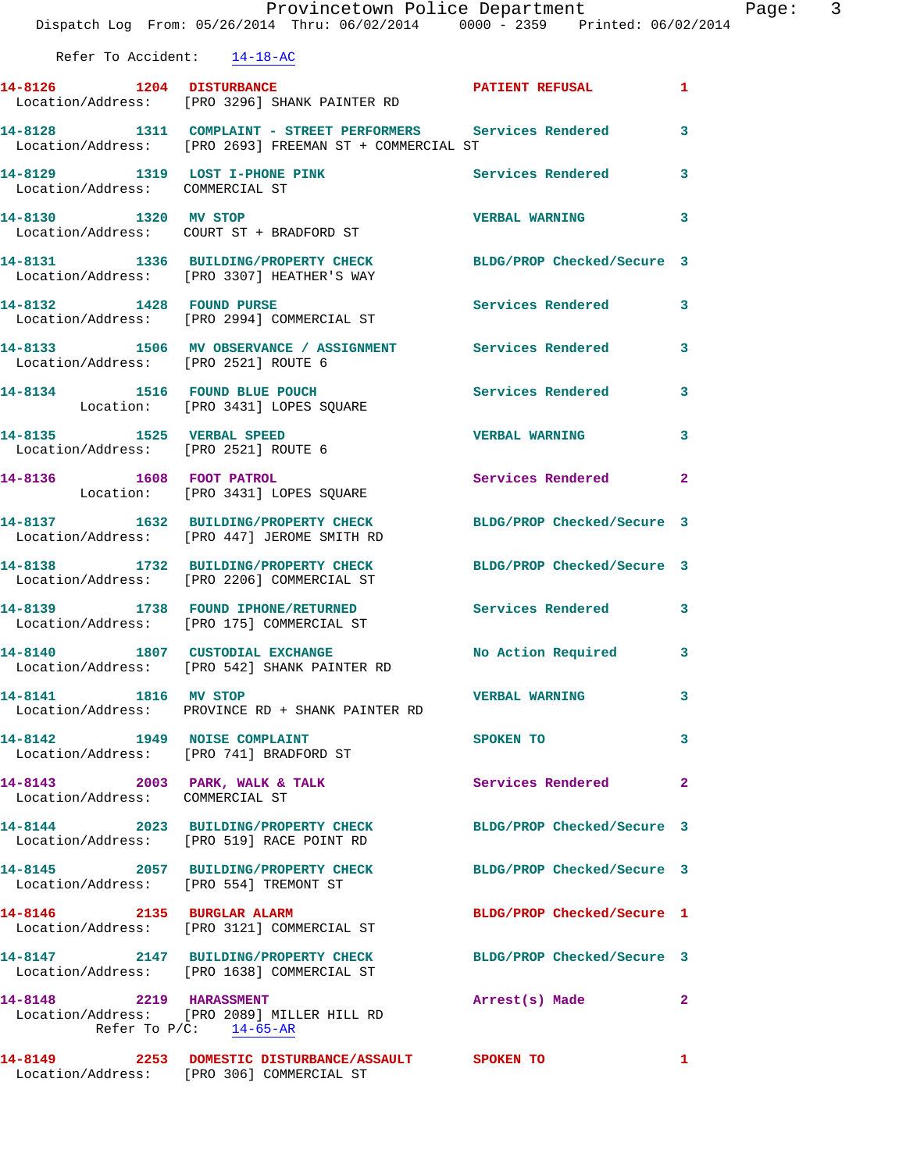|                                 | Provincetown Police Department<br>Dispatch Log From: 05/26/2014 Thru: 06/02/2014 0000 - 2359 Printed: 06/02/2014          |                            | Page: 3      |
|---------------------------------|---------------------------------------------------------------------------------------------------------------------------|----------------------------|--------------|
| Refer To Accident: 14-18-AC     |                                                                                                                           |                            |              |
|                                 | 14-8126 1204 DISTURBANCE PATIENT REFUSAL 1<br>Location/Address: [PRO 3296] SHANK PAINTER RD                               |                            |              |
|                                 | 14-8128 1311 COMPLAINT - STREET PERFORMERS Services Rendered 3<br>Location/Address: [PRO 2693] FREEMAN ST + COMMERCIAL ST |                            |              |
| Location/Address: COMMERCIAL ST | 14-8129 1319 LOST I-PHONE PINK Services Rendered                                                                          |                            | 3            |
| 14-8130 1320 MV STOP            | Location/Address: COURT ST + BRADFORD ST                                                                                  | <b>VERBAL WARNING 3</b>    |              |
|                                 | 14-8131 1336 BUILDING/PROPERTY CHECK BLDG/PROP Checked/Secure 3<br>Location/Address: [PRO 3307] HEATHER'S WAY             |                            |              |
|                                 | 14-8132 1428 FOUND PURSE 2000 1200 Services Rendered 3<br>Location/Address: [PRO 2994] COMMERCIAL ST                      |                            |              |
|                                 | 14-8133 1506 MV OBSERVANCE / ASSIGNMENT Services Rendered 3<br>Location/Address: [PRO 2521] ROUTE 6                       |                            |              |
|                                 | 14-8134 1516 FOUND BLUE POUCH<br>Location: [PRO 3431] LOPES SQUARE                                                        | Services Rendered          | 3            |
|                                 | 14-8135 1525 VERBAL SPEED<br>Location/Address: [PRO 2521] ROUTE 6                                                         | <b>VERBAL WARNING</b>      | $\mathbf{3}$ |
|                                 | 14-8136 1608 FOOT PATROL<br>Location: [PRO 3431] LOPES SQUARE                                                             | Services Rendered          | $\mathbf{2}$ |
|                                 | 14-8137 1632 BUILDING/PROPERTY CHECK BLDG/PROP Checked/Secure 3<br>Location/Address: [PRO 447] JEROME SMITH RD            |                            |              |
|                                 | 14-8138 1732 BUILDING/PROPERTY CHECK BLDG/PROP Checked/Secure 3<br>Location/Address: [PRO 2206] COMMERCIAL ST             |                            |              |
|                                 | 14-8139 1738 FOUND IPHONE/RETURNED Services Rendered 3<br>Location/Address: [PRO 175] COMMERCIAL ST                       |                            |              |
|                                 | 14-8140 1807 CUSTODIAL EXCHANGE 1 No Action Required 3<br>Location/Address: [PRO 542] SHANK PAINTER RD                    |                            |              |
| 14-8141 1816 MV STOP            | Location/Address: PROVINCE RD + SHANK PAINTER RD                                                                          | <b>VERBAL WARNING</b>      | 3            |
|                                 | 14-8142 1949 NOISE COMPLAINT<br>Location/Address: [PRO 741] BRADFORD ST                                                   | SPOKEN TO                  | 3            |
| Location/Address: COMMERCIAL ST | 14-8143 2003 PARK, WALK & TALK                                                                                            | Services Rendered          | 2            |
|                                 | 14-8144 2023 BUILDING/PROPERTY CHECK BLDG/PROP Checked/Secure 3<br>Location/Address: [PRO 519] RACE POINT RD              |                            |              |
|                                 | 14-8145 2057 BUILDING/PROPERTY CHECK BLDG/PROP Checked/Secure 3<br>Location/Address: [PRO 554] TREMONT ST                 |                            |              |
|                                 | 14-8146 2135 BURGLAR ALARM<br>Location/Address: [PRO 3121] COMMERCIAL ST                                                  | BLDG/PROP Checked/Secure 1 |              |
|                                 | 14-8147 2147 BUILDING/PROPERTY CHECK BLDG/PROP Checked/Secure 3<br>Location/Address: [PRO 1638] COMMERCIAL ST             |                            |              |
|                                 | 14-8148 2219 HARASSMENT<br>Location/Address: [PRO 2089] MILLER HILL RD<br>Refer To $P/C$ : 14-65-AR                       | Arrest(s) Made             | 2            |
|                                 | 14-8149  2253 DOMESTIC DISTURBANCE/ASSAULT SPOKEN TO                                                                      |                            | $\mathbf{1}$ |

Location/Address: [PRO 306] COMMERCIAL ST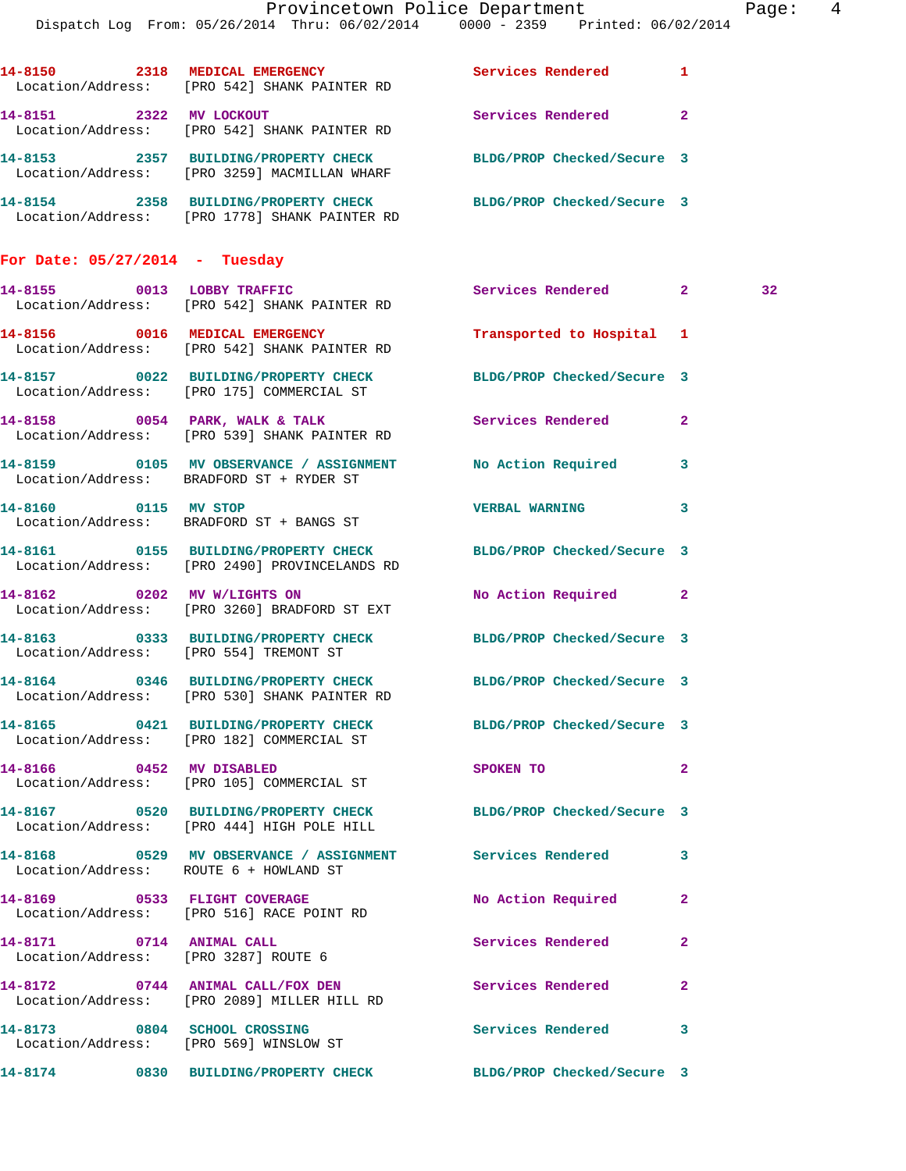|                                        | Dispatch Log From: 05/26/2014 Thru: 06/02/2014 0000 - 2359 Printed: 06/02/2014                                         | Provincetown Police Department                                                                                                                                                                                                 |                         | Page:  4 |  |
|----------------------------------------|------------------------------------------------------------------------------------------------------------------------|--------------------------------------------------------------------------------------------------------------------------------------------------------------------------------------------------------------------------------|-------------------------|----------|--|
|                                        | 14-8150 2318 MEDICAL EMERGENCY Services Rendered 1<br>Location/Address: [PRO 542] SHANK PAINTER RD                     |                                                                                                                                                                                                                                |                         |          |  |
|                                        | 14-8151 2322 MV LOCKOUT<br>Location/Address: [PRO 542] SHANK PAINTER RD                                                | Services Rendered 2                                                                                                                                                                                                            |                         |          |  |
|                                        | 14-8153 2357 BUILDING/PROPERTY CHECK BLDG/PROP Checked/Secure 3<br>Location/Address: [PRO 3259] MACMILLAN WHARF        |                                                                                                                                                                                                                                |                         |          |  |
|                                        | 14-8154 2358 BUILDING/PROPERTY CHECK BLDG/PROP Checked/Secure 3<br>Location/Address: [PRO 1778] SHANK PAINTER RD       |                                                                                                                                                                                                                                |                         |          |  |
| For Date: $05/27/2014$ - Tuesday       |                                                                                                                        |                                                                                                                                                                                                                                |                         |          |  |
|                                        | 14-8155 0013 LOBBY TRAFFIC<br>Location/Address: [PRO 542] SHANK PAINTER RD                                             | Services Rendered 2                                                                                                                                                                                                            |                         | 32       |  |
|                                        | 14-8156 0016 MEDICAL EMERGENCY<br>Location/Address: [PRO 542] SHANK PAINTER RD                                         | Transported to Hospital 1                                                                                                                                                                                                      |                         |          |  |
|                                        | 14-8157 0022 BUILDING/PROPERTY CHECK BLDG/PROP Checked/Secure 3<br>Location/Address: [PRO 175] COMMERCIAL ST           |                                                                                                                                                                                                                                |                         |          |  |
|                                        | 14-8158 0054 PARK, WALK & TALK<br>Location/Address: [PRO 539] SHANK PAINTER RD                                         | Services Rendered 2                                                                                                                                                                                                            |                         |          |  |
|                                        | 14-8159 0105 MV OBSERVANCE / ASSIGNMENT<br>Location/Address: BRADFORD ST + RYDER ST                                    | No Action Required 3                                                                                                                                                                                                           |                         |          |  |
| 14-8160 0115 MV STOP                   | Location/Address: BRADFORD ST + BANGS ST                                                                               | VERBAL WARNING 3                                                                                                                                                                                                               |                         |          |  |
|                                        | 14-8161 0155 BUILDING/PROPERTY CHECK BLDG/PROP Checked/Secure 3<br>Location/Address: [PRO 2490] PROVINCELANDS RD       |                                                                                                                                                                                                                                |                         |          |  |
|                                        | 14-8162 0202 MV W/LIGHTS ON<br>Location/Address: [PRO 3260] BRADFORD ST EXT                                            | No Action Required 2                                                                                                                                                                                                           |                         |          |  |
| Location/Address: [PRO 554] TREMONT ST | 14-8163 0333 BUILDING/PROPERTY CHECK BLDG/PROP Checked/Secure 3                                                        |                                                                                                                                                                                                                                |                         |          |  |
|                                        | 14-8164 0346 BUILDING/PROPERTY CHECK BLDG/PROP Checked/Secure 3<br>Location/Address: [PRO 530] SHANK PAINTER RD        |                                                                                                                                                                                                                                |                         |          |  |
|                                        | 14-8165 0421 BUILDING/PROPERTY CHECK BLDG/PROP Checked/Secure 3<br>Location/Address: [PRO 182] COMMERCIAL ST           |                                                                                                                                                                                                                                |                         |          |  |
| 14-8166 0452 MV DISABLED               | Location/Address: [PRO 105] COMMERCIAL ST                                                                              | SPOKEN TO AND TO A RESIDENCE OF A RESIDENCE OF A RESIDENCE OF A RESIDENCE OF A RESIDENCE OF A RESIDENCE OF A RESIDENCE OF A RESIDENCE OF A RESIDENCE OF A RESIDENCE OF A RESIDENCE OF A RESIDENCE OF A RESIDENCE OF A RESIDENC | $\overline{2}$          |          |  |
|                                        | 14-8167 			 0520 BUILDING/PROPERTY CHECK 					BLDG/PROP Checked/Secure 3<br>Location/Address: [PRO 444] HIGH POLE HILL |                                                                                                                                                                                                                                |                         |          |  |
| Location/Address: ROUTE 6 + HOWLAND ST | 14-8168 0529 MV OBSERVANCE / ASSIGNMENT Services Rendered 3                                                            |                                                                                                                                                                                                                                |                         |          |  |
|                                        | 14-8169 0533 FLIGHT COVERAGE<br>Location/Address: [PRO 516] RACE POINT RD                                              | No Action Required                                                                                                                                                                                                             | $\mathbf{2}$            |          |  |
| 14-8171 0714 ANIMAL CALL               | Location/Address: [PRO 3287] ROUTE 6                                                                                   | Services Rendered                                                                                                                                                                                                              | $\mathbf{2}$            |          |  |
|                                        | 14-8172 0744 ANIMAL CALL/FOX DEN<br>Location/Address: [PRO 2089] MILLER HILL RD                                        | Services Rendered                                                                                                                                                                                                              | $\mathbf{2}$            |          |  |
|                                        | 14-8173 0804 SCHOOL CROSSING<br>Location/Address: [PRO 569] WINSLOW ST                                                 | Services Rendered                                                                                                                                                                                                              | $\overline{\mathbf{3}}$ |          |  |
|                                        | 14-8174 0830 BUILDING/PROPERTY CHECK BLDG/PROP Checked/Secure 3                                                        |                                                                                                                                                                                                                                |                         |          |  |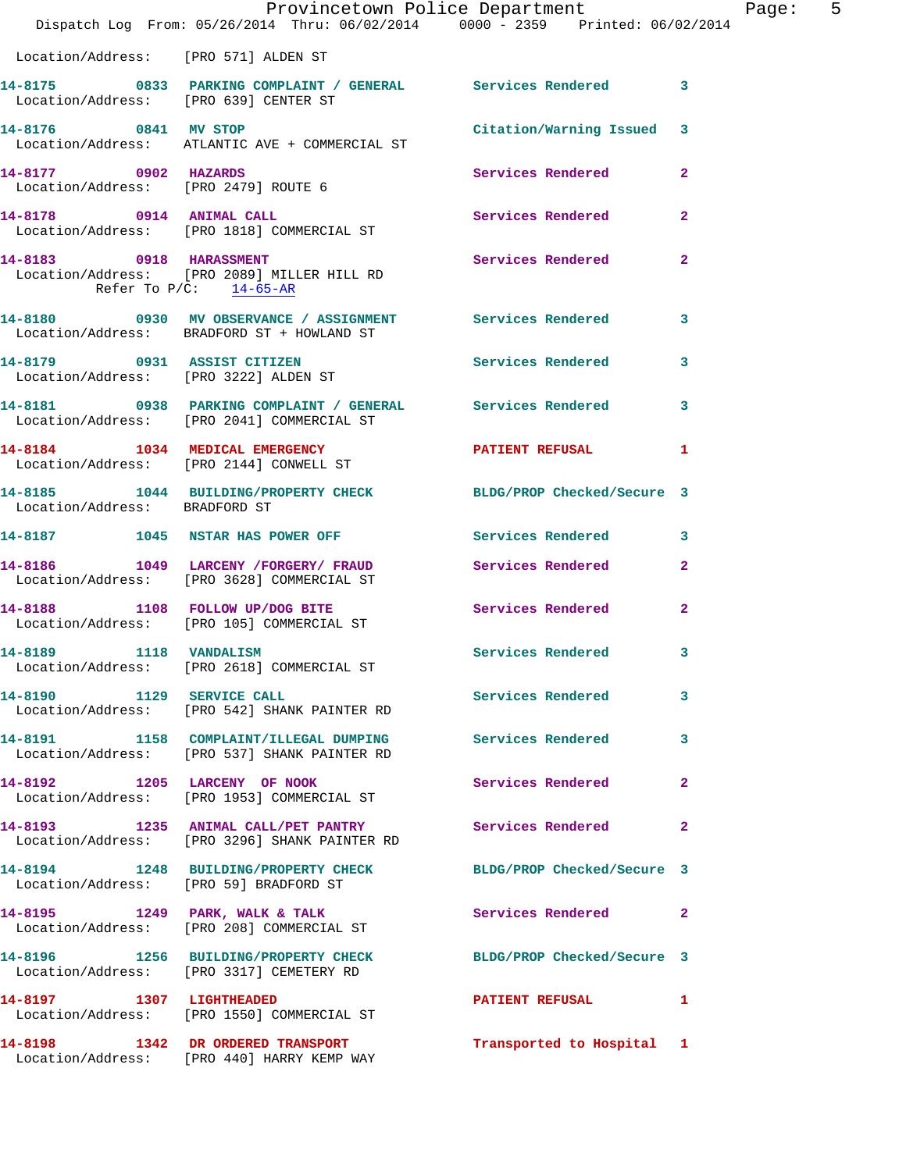|                                                      | Dispatch Log From: 05/26/2014 Thru: 06/02/2014 0000 - 2359 Printed: 06/02/2014                              | Provincetown Police Department | Page: 5        |
|------------------------------------------------------|-------------------------------------------------------------------------------------------------------------|--------------------------------|----------------|
| Location/Address: [PRO 571] ALDEN ST                 |                                                                                                             |                                |                |
| Location/Address: [PRO 639] CENTER ST                | 14-8175 0833 PARKING COMPLAINT / GENERAL Services Rendered 3                                                |                                |                |
|                                                      | 14-8176 0841 MV STOP<br>Location/Address: ATLANTIC AVE + COMMERCIAL ST                                      | Citation/Warning Issued 3      |                |
| 14-8177 0902 HAZARDS                                 | Location/Address: [PRO 2479] ROUTE 6                                                                        | <b>Services Rendered</b>       | $\overline{a}$ |
|                                                      | 14-8178 0914 ANIMAL CALL<br>Location/Address: [PRO 1818] COMMERCIAL ST                                      | Services Rendered              | $\mathbf{2}$   |
| 14-8183 0918 HARASSMENT<br>Refer To $P/C$ : 14-65-AR | Location/Address: [PRO 2089] MILLER HILL RD                                                                 | Services Rendered              | $\mathbf{2}$   |
|                                                      | 14-8180 0930 MV OBSERVANCE / ASSIGNMENT Services Rendered<br>Location/Address: BRADFORD ST + HOWLAND ST     |                                | 3              |
|                                                      | 14-8179 0931 ASSIST CITIZEN<br>Location/Address: [PRO 3222] ALDEN ST                                        | Services Rendered              | 3              |
|                                                      | 14-8181 0938 PARKING COMPLAINT / GENERAL Services Rendered 3<br>Location/Address: [PRO 2041] COMMERCIAL ST  |                                |                |
|                                                      | 14-8184 1034 MEDICAL EMERGENCY PATIENT REFUSAL<br>Location/Address: [PRO 2144] CONWELL ST                   |                                | $\mathbf{1}$   |
| Location/Address: BRADFORD ST                        | 14-8185 1044 BUILDING/PROPERTY CHECK BLDG/PROP Checked/Secure 3                                             |                                |                |
|                                                      | 14-8187 1045 NSTAR HAS POWER OFF                                                                            | Services Rendered              | 3              |
|                                                      | 14-8186 1049 LARCENY /FORGERY/ FRAUD Services Rendered<br>Location/Address: [PRO 3628] COMMERCIAL ST        |                                | $\overline{2}$ |
|                                                      | 14-8188 1108 FOLLOW UP/DOG BITE Services Rendered<br>Location/Address: [PRO 105] COMMERCIAL ST              |                                | $\mathbf{2}$   |
| 14-8189 1118 VANDALISM                               | Location/Address: [PRO 2618] COMMERCIAL ST                                                                  | Services Rendered 3            |                |
|                                                      | 14-8190 1129 SERVICE CALL<br>Location/Address: [PRO 542] SHANK PAINTER RD                                   | <b>Services Rendered</b>       | 3              |
|                                                      | 14-8191 1158 COMPLAINT/ILLEGAL DUMPING Services Rendered<br>Location/Address: [PRO 537] SHANK PAINTER RD    |                                | 3              |
|                                                      | 14-8192 1205 LARCENY OF NOOK<br>Location/Address: [PRO 1953] COMMERCIAL ST                                  | Services Rendered              | $\mathbf{2}$   |
|                                                      |                                                                                                             |                                | $\mathbf{2}$   |
|                                                      | 14-8194 1248 BUILDING/PROPERTY CHECK BLDG/PROP Checked/Secure 3<br>Location/Address: [PRO 59] BRADFORD ST   |                                |                |
|                                                      | 14-8195 1249 PARK, WALK & TALK<br>Location/Address: [PRO 208] COMMERCIAL ST                                 | Services Rendered 2            |                |
|                                                      | 14-8196 1256 BUILDING/PROPERTY CHECK BLDG/PROP Checked/Secure 3<br>Location/Address: [PRO 3317] CEMETERY RD |                                |                |
|                                                      | 14-8197 1307 LIGHTHEADED<br>Location/Address: [PRO 1550] COMMERCIAL ST                                      | PATIENT REFUSAL 1              |                |
|                                                      | 14-8198 1342 DR ORDERED TRANSPORT<br>Location/Address: [PRO 440] HARRY KEMP WAY                             | Transported to Hospital 1      |                |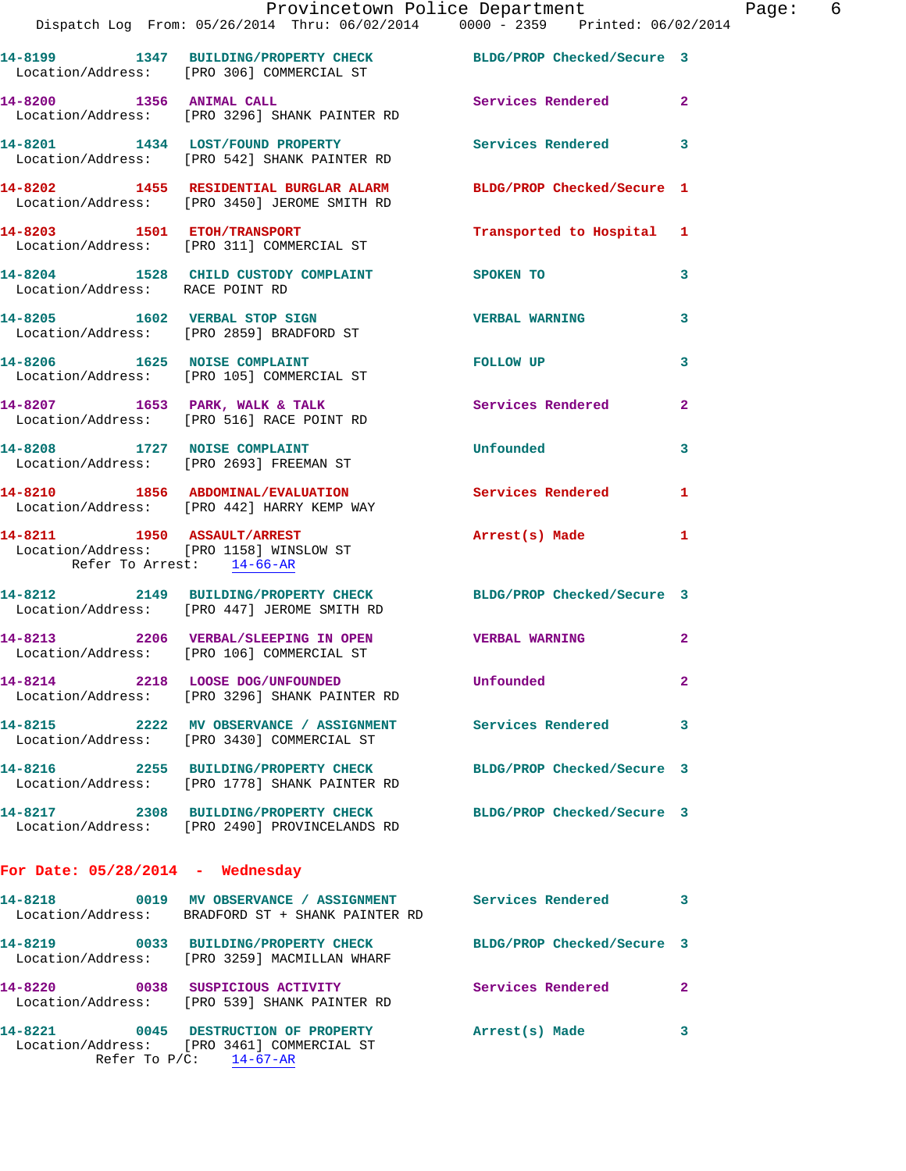|                                    | Provincetown Police Department<br>Dispatch Log From: 05/26/2014 Thru: 06/02/2014 0000 - 2359 Printed: 06/02/2014 |                            |                |
|------------------------------------|------------------------------------------------------------------------------------------------------------------|----------------------------|----------------|
|                                    | 14-8199 1347 BUILDING/PROPERTY CHECK BLDG/PROP Checked/Secure 3<br>Location/Address: [PRO 306] COMMERCIAL ST     |                            |                |
|                                    | 14-8200 1356 ANIMAL CALL<br>Location/Address: [PRO 3296] SHANK PAINTER RD                                        | Services Rendered          | $\mathbf{2}$   |
|                                    | 14-8201 1434 LOST/FOUND PROPERTY<br>Location/Address: [PRO 542] SHANK PAINTER RD                                 | <b>Services Rendered</b>   | 3              |
|                                    | 14-8202 1455 RESIDENTIAL BURGLAR ALARM<br>Location/Address: [PRO 3450] JEROME SMITH RD                           | BLDG/PROP Checked/Secure 1 |                |
|                                    | 14-8203 1501 ETOH/TRANSPORT<br>Location/Address: [PRO 311] COMMERCIAL ST                                         | Transported to Hospital    | 1              |
| Location/Address: RACE POINT RD    | 14-8204 1528 CHILD CUSTODY COMPLAINT SPOKEN TO                                                                   |                            | 3              |
|                                    | 14-8205 1602 VERBAL STOP SIGN<br>Location/Address: [PRO 2859] BRADFORD ST                                        | <b>VERBAL WARNING</b>      | 3              |
|                                    | 14-8206 1625 NOISE COMPLAINT<br>Location/Address: [PRO 105] COMMERCIAL ST                                        | FOLLOW UP                  | 3              |
|                                    | 14-8207 1653 PARK, WALK & TALK<br>Location/Address: [PRO 516] RACE POINT RD                                      | Services Rendered          | $\mathbf{2}$   |
|                                    | 14-8208 1727 NOISE COMPLAINT<br>Location/Address: [PRO 2693] FREEMAN ST                                          | Unfounded                  | 3              |
|                                    | 14-8210 1856 ABDOMINAL/EVALUATION<br>Location/Address: [PRO 442] HARRY KEMP WAY                                  | <b>Services Rendered</b>   | 1              |
| Refer To Arrest: 14-66-AR          | 14-8211 1950 ASSAULT/ARREST<br>Location/Address: [PRO 1158] WINSLOW ST                                           | Arrest(s) Made             | 1              |
|                                    | 14-8212 2149 BUILDING/PROPERTY CHECK BLDG/PROP Checked/Secure 3<br>Location/Address: [PRO 447] JEROME SMITH RD   |                            |                |
|                                    | 14-8213 2206 VERBAL/SLEEPING IN OPEN<br>Location/Address: [PRO 106] COMMERCIAL ST                                | <b>VERBAL WARNING</b>      | $\overline{2}$ |
|                                    | 14-8214 2218 LOOSE DOG/UNFOUNDED<br>Location/Address: [PRO 3296] SHANK PAINTER RD                                | Unfounded                  | $\mathbf{2}$   |
|                                    | 14-8215 2222 MV OBSERVANCE / ASSIGNMENT Services Rendered<br>Location/Address: [PRO 3430] COMMERCIAL ST          |                            | 3              |
|                                    | 14-8216 2255 BUILDING/PROPERTY CHECK BLDG/PROP Checked/Secure 3<br>Location/Address: [PRO 1778] SHANK PAINTER RD |                            |                |
|                                    | 14-8217 2308 BUILDING/PROPERTY CHECK BLDG/PROP Checked/Secure 3<br>Location/Address: [PRO 2490] PROVINCELANDS RD |                            |                |
| For Date: $05/28/2014$ - Wednesday |                                                                                                                  |                            |                |
|                                    | 14-8218 		 0019 MV OBSERVANCE / ASSIGNMENT Services Rendered<br>Location/Address: BRADFORD ST + SHANK PAINTER RD |                            | 3              |
|                                    | 14-8219 0033 BUILDING/PROPERTY CHECK<br>Location/Address: [PRO 3259] MACMILLAN WHARF                             | BLDG/PROP Checked/Secure 3 |                |
|                                    | 14-8220 0038 SUSPICIOUS ACTIVITY<br>Location/Address: [PRO 539] SHANK PAINTER RD                                 | Services Rendered          | $\mathbf{2}$   |
|                                    | 14-8221 0045 DESTRUCTION OF PROPERTY<br>Location/Address: [PRO 3461] COMMERCIAL ST                               | Arrest(s) Made             | 3              |

Refer To P/C: 14-67-AR

Page: 6<br> $2014$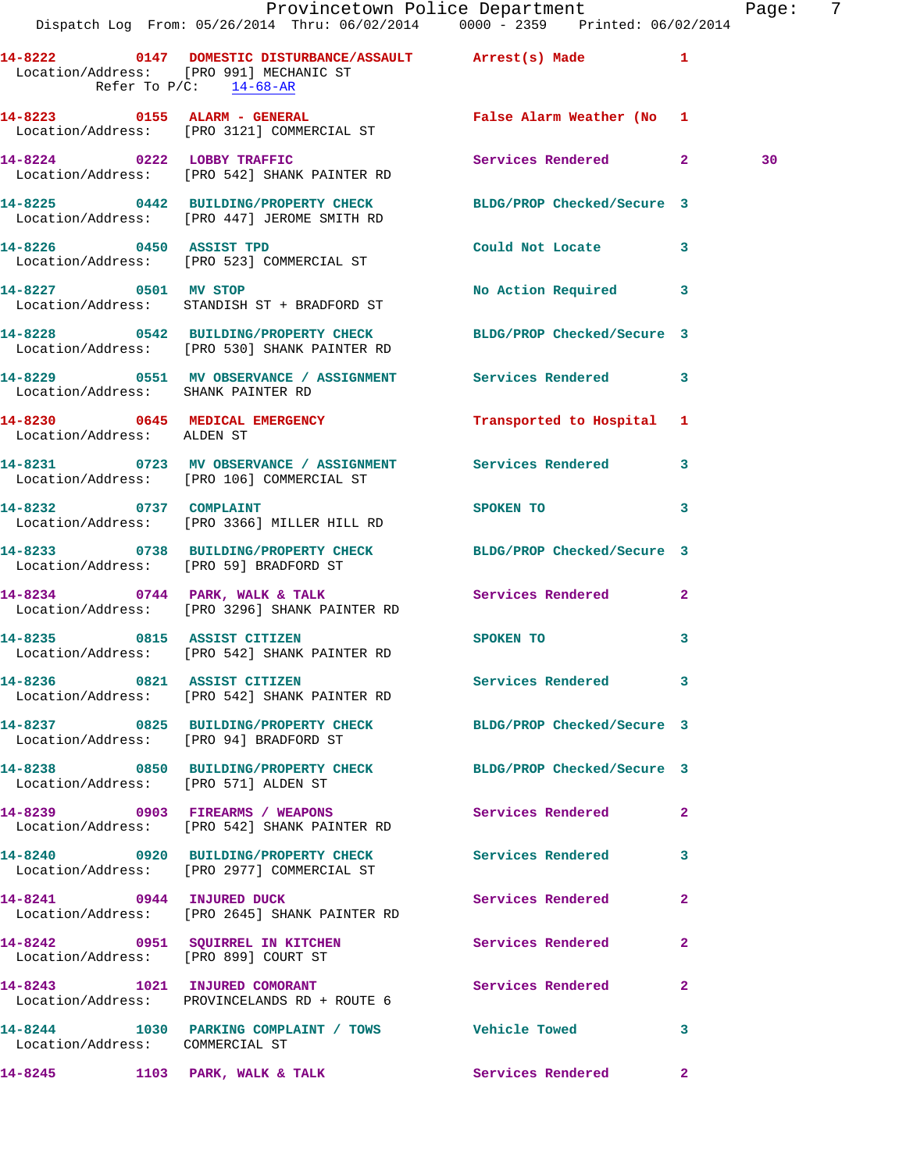|                                        | Provincetown Police Department The Page:<br>Dispatch Log From: 05/26/2014 Thru: 06/02/2014 0000 - 2359 Printed: 06/02/2014 |                                                                                                                 |              |    | - 7 |
|----------------------------------------|----------------------------------------------------------------------------------------------------------------------------|-----------------------------------------------------------------------------------------------------------------|--------------|----|-----|
| Refer To $P/C$ : 14-68-AR              | 14-8222 0147 DOMESTIC DISTURBANCE/ASSAULT Arrest(s) Made 1<br>Location/Address: [PRO 991] MECHANIC ST                      |                                                                                                                 |              |    |     |
|                                        |                                                                                                                            |                                                                                                                 |              |    |     |
|                                        | 14-8224 0222 LOBBY TRAFFIC<br>Location/Address: [PRO 542] SHANK PAINTER RD                                                 | Services Rendered 2                                                                                             |              | 30 |     |
|                                        | 14-8225 0442 BUILDING/PROPERTY CHECK BLDG/PROP Checked/Secure 3<br>Location/Address: [PRO 447] JEROME SMITH RD             |                                                                                                                 |              |    |     |
|                                        | 14-8226 0450 ASSIST TPD<br>Location/Address: [PRO 523] COMMERCIAL ST                                                       | Could Not Locate 3                                                                                              |              |    |     |
|                                        | 14-8227 0501 MV STOP<br>Location/Address: STANDISH ST + BRADFORD ST                                                        | No Action Required 3                                                                                            |              |    |     |
|                                        | 14-8228 0542 BUILDING/PROPERTY CHECK BLDG/PROP Checked/Secure 3<br>Location/Address: [PRO 530] SHANK PAINTER RD            |                                                                                                                 |              |    |     |
| Location/Address: SHANK PAINTER RD     | 14-8229 0551 MV OBSERVANCE / ASSIGNMENT Services Rendered 3                                                                |                                                                                                                 |              |    |     |
| Location/Address: ALDEN ST             | 14-8230 0645 MEDICAL EMERGENCY Transported to Hospital 1                                                                   |                                                                                                                 |              |    |     |
|                                        | 14-8231 0723 MV OBSERVANCE / ASSIGNMENT Services Rendered 3<br>Location/Address: [PRO 106] COMMERCIAL ST                   |                                                                                                                 |              |    |     |
| 14-8232 0737 COMPLAINT                 | Location/Address: [PRO 3366] MILLER HILL RD                                                                                | SPOKEN TO THE STRIKE STRIKE STRIKE STRIKE STRIKE STRIKE STRIKE STRIKE STRIKE STRIKE STRIKE STRIKE STRIKE STRIKE | 3            |    |     |
|                                        | 14-8233 0738 BUILDING/PROPERTY CHECK BLDG/PROP Checked/Secure 3<br>Location/Address: [PRO 59] BRADFORD ST                  |                                                                                                                 |              |    |     |
|                                        | 14-8234 0744 PARK, WALK & TALK 3 Services Rendered 2<br>Location/Address: [PRO 3296] SHANK PAINTER RD                      |                                                                                                                 |              |    |     |
|                                        | 14-8235 0815 ASSIST CITIZEN<br>Location/Address: [PRO 542] SHANK PAINTER RD                                                | SPOKEN TO                                                                                                       | 3            |    |     |
|                                        | 14-8236 0821 ASSIST CITIZEN<br>Location/Address: [PRO 542] SHANK PAINTER RD                                                | Services Rendered 3                                                                                             |              |    |     |
| Location/Address: [PRO 94] BRADFORD ST | 14-8237 0825 BUILDING/PROPERTY CHECK BLDG/PROP Checked/Secure 3                                                            |                                                                                                                 |              |    |     |
| Location/Address: [PRO 571] ALDEN ST   | 14-8238 0850 BUILDING/PROPERTY CHECK BLDG/PROP Checked/Secure 3                                                            |                                                                                                                 |              |    |     |
|                                        | 14-8239 0903 FIREARMS / WEAPONS<br>Location/Address: [PRO 542] SHANK PAINTER RD                                            | Services Rendered                                                                                               | $\mathbf{2}$ |    |     |
|                                        | 14-8240 0920 BUILDING/PROPERTY CHECK Services Rendered 3<br>Location/Address: [PRO 2977] COMMERCIAL ST                     |                                                                                                                 |              |    |     |
|                                        | 14-8241 0944 INJURED DUCK<br>Location/Address: [PRO 2645] SHANK PAINTER RD                                                 | Services Rendered                                                                                               | $\mathbf{2}$ |    |     |
| Location/Address: [PRO 899] COURT ST   | 14-8242 0951 SQUIRREL IN KITCHEN Services Rendered                                                                         |                                                                                                                 | $\mathbf{2}$ |    |     |
|                                        | 14-8243 1021 INJURED COMORANT<br>Location/Address: PROVINCELANDS RD + ROUTE 6                                              | <b>Services Rendered</b>                                                                                        | $\mathbf{2}$ |    |     |
| Location/Address: COMMERCIAL ST        | 14-8244 1030 PARKING COMPLAINT / TOWS Vehicle Towed                                                                        |                                                                                                                 | 3            |    |     |
| 14-8245 1103 PARK, WALK & TALK         |                                                                                                                            | Services Rendered 2                                                                                             |              |    |     |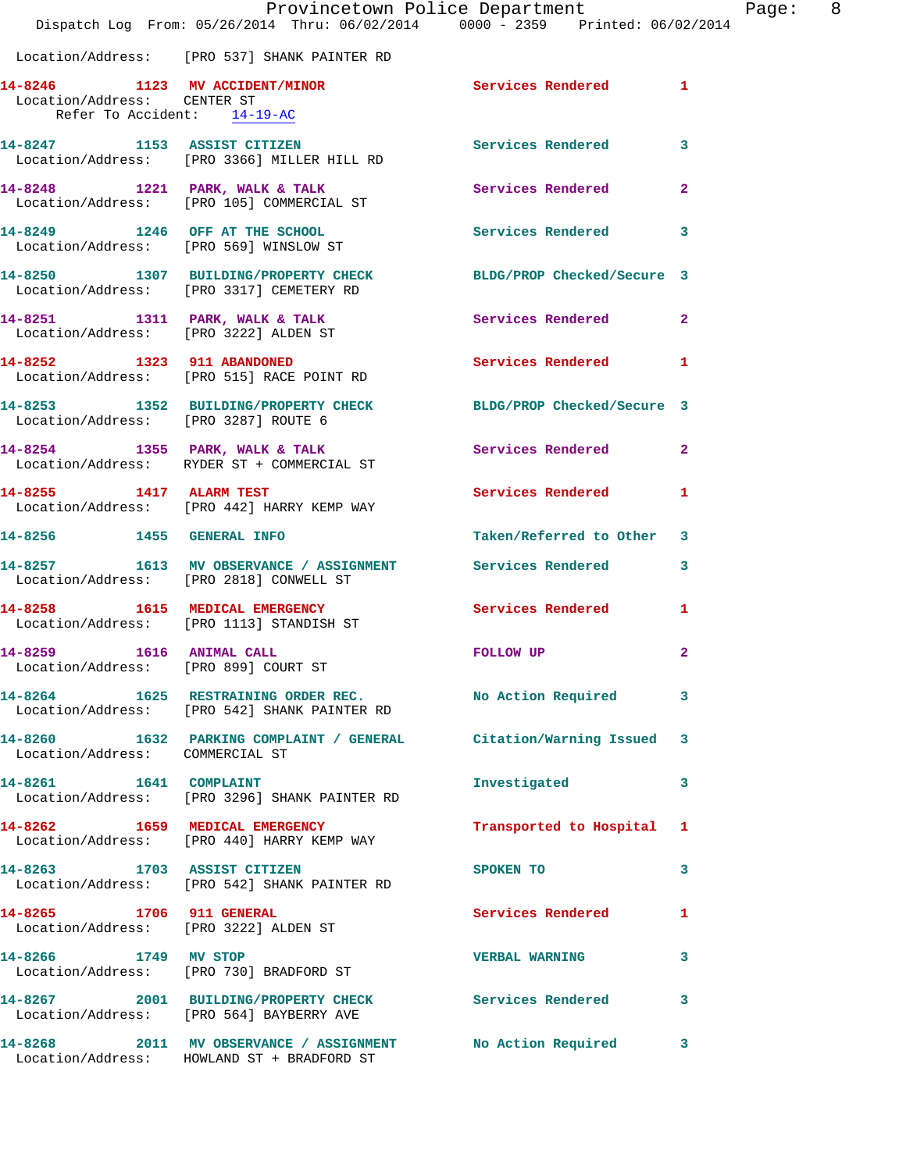|                                                                     | Dispatch Log From: 05/26/2014 Thru: 06/02/2014 0000 - 2359 Printed: 06/02/2014                              | Provincetown Police Department | Page: 8        |  |
|---------------------------------------------------------------------|-------------------------------------------------------------------------------------------------------------|--------------------------------|----------------|--|
|                                                                     | Location/Address: [PRO 537] SHANK PAINTER RD                                                                |                                |                |  |
| Location/Address: CENTER ST<br>Refer To Accident: 14-19-AC          | 14-8246 1123 MV ACCIDENT/MINOR Services Rendered 1                                                          |                                |                |  |
|                                                                     | 14-8247 1153 ASSIST CITIZEN<br>Location/Address: [PRO 3366] MILLER HILL RD                                  | Services Rendered 3            |                |  |
|                                                                     | 14-8248 1221 PARK, WALK & TALK<br>Location/Address: [PRO 105] COMMERCIAL ST                                 | Services Rendered              | $\mathbf{2}$   |  |
|                                                                     | 14-8249 1246 OFF AT THE SCHOOL<br>Location/Address: [PRO 569] WINSLOW ST                                    | Services Rendered 3            |                |  |
|                                                                     | 14-8250 1307 BUILDING/PROPERTY CHECK BLDG/PROP Checked/Secure 3<br>Location/Address: [PRO 3317] CEMETERY RD |                                |                |  |
|                                                                     | 14-8251 1311 PARK, WALK & TALK<br>Location/Address: [PRO 3222] ALDEN ST                                     | Services Rendered 2            |                |  |
|                                                                     | 14-8252 1323 911 ABANDONED<br>Location/Address: [PRO 515] RACE POINT RD                                     | Services Rendered 1            |                |  |
| Location/Address: [PRO 3287] ROUTE 6                                | 14-8253 1352 BUILDING/PROPERTY CHECK BLDG/PROP Checked/Secure 3                                             |                                |                |  |
|                                                                     | 14-8254 1355 PARK, WALK & TALK 1988 Services Rendered 2<br>Location/Address: RYDER ST + COMMERCIAL ST       |                                |                |  |
| 14-8255 1417 ALARM TEST                                             | Location/Address: [PRO 442] HARRY KEMP WAY                                                                  | Services Rendered 1            |                |  |
| 14-8256 1455 GENERAL INFO                                           |                                                                                                             | Taken/Referred to Other 3      |                |  |
|                                                                     | 14-8257 1613 MV OBSERVANCE / ASSIGNMENT Services Rendered 3<br>Location/Address: [PRO 2818] CONWELL ST      |                                |                |  |
|                                                                     | 14-8258 1615 MEDICAL EMERGENCY<br>Location/Address: [PRO 1113] STANDISH ST                                  | Services Rendered 1            |                |  |
| 1616 ANIMAL CALL<br>14-8259<br>Location/Address: [PRO 899] COURT ST |                                                                                                             | FOLLOW UP                      | $\overline{2}$ |  |
|                                                                     | 14-8264 1625 RESTRAINING ORDER REC. No Action Required 3<br>Location/Address: [PRO 542] SHANK PAINTER RD    |                                |                |  |
| Location/Address: COMMERCIAL ST                                     | 14-8260 1632 PARKING COMPLAINT / GENERAL Citation/Warning Issued 3                                          |                                |                |  |
|                                                                     | 14-8261 1641 COMPLAINT<br>Location/Address: [PRO 3296] SHANK PAINTER RD                                     | Investigated                   | 3              |  |
|                                                                     | 14-8262 1659 MEDICAL EMERGENCY<br>Location/Address: [PRO 440] HARRY KEMP WAY                                | Transported to Hospital 1      |                |  |
|                                                                     | 14-8263 1703 ASSIST CITIZEN<br>Location/Address: [PRO 542] SHANK PAINTER RD                                 | SPOKEN TO                      | 3              |  |
| 14-8265 1706 911 GENERAL                                            | Location/Address: [PRO 3222] ALDEN ST                                                                       | Services Rendered 1            |                |  |
|                                                                     | 14-8266 1749 MV STOP<br>Location/Address: [PRO 730] BRADFORD ST                                             | <b>VERBAL WARNING</b>          | 3              |  |
|                                                                     | 14-8267 2001 BUILDING/PROPERTY CHECK Services Rendered 3<br>Location/Address: [PRO 564] BAYBERRY AVE        |                                |                |  |
|                                                                     | 14-8268 2011 MV OBSERVANCE / ASSIGNMENT<br>Location/Address: HOWLAND ST + BRADFORD ST                       | No Action Required             | 3              |  |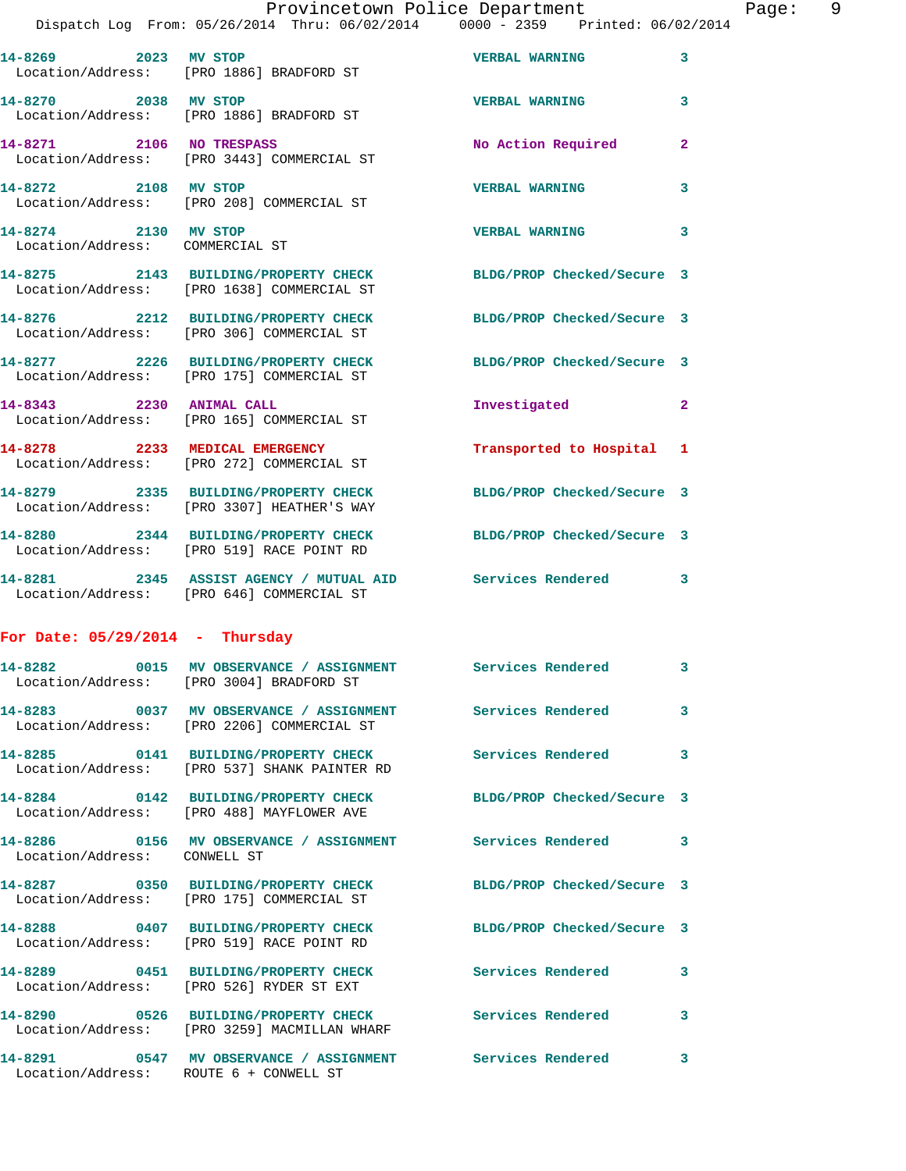|                                                         | Provincetown Police Department<br>Dispatch Log From: 05/26/2014 Thru: 06/02/2014 0000 - 2359 Printed: 06/02/2014 |                            |              |
|---------------------------------------------------------|------------------------------------------------------------------------------------------------------------------|----------------------------|--------------|
|                                                         | 14-8269 2023 MV STOP<br>Location/Address: [PRO 1886] BRADFORD ST                                                 | <b>VERBAL WARNING</b>      | 3            |
| 14-8270 2038 MV STOP                                    | Location/Address: [PRO 1886] BRADFORD ST                                                                         | <b>VERBAL WARNING</b>      | 3            |
|                                                         | 14-8271 2106 NO TRESPASS<br>Location/Address: [PRO 3443] COMMERCIAL ST                                           | No Action Required         | $\mathbf{2}$ |
| 14-8272 2108 MV STOP                                    | Location/Address: [PRO 208] COMMERCIAL ST                                                                        | <b>VERBAL WARNING</b>      | 3            |
| 14-8274 2130 MV STOP<br>Location/Address: COMMERCIAL ST |                                                                                                                  | <b>VERBAL WARNING</b>      | 3            |
|                                                         | 14-8275 2143 BUILDING/PROPERTY CHECK BLDG/PROP Checked/Secure 3<br>Location/Address: [PRO 1638] COMMERCIAL ST    |                            |              |
|                                                         | 14-8276 2212 BUILDING/PROPERTY CHECK BLDG/PROP Checked/Secure 3<br>Location/Address: [PRO 306] COMMERCIAL ST     |                            |              |
|                                                         | 14-8277 2226 BUILDING/PROPERTY CHECK BLDG/PROP Checked/Secure 3<br>Location/Address: [PRO 175] COMMERCIAL ST     |                            |              |
| 14-8343 2230 ANIMAL CALL                                | Location/Address: [PRO 165] COMMERCIAL ST                                                                        | Investigated               | $\mathbf{2}$ |
|                                                         | 14-8278 2233 MEDICAL EMERGENCY<br>Location/Address: [PRO 272] COMMERCIAL ST                                      | Transported to Hospital    | 1            |
|                                                         | 14-8279 2335 BUILDING/PROPERTY CHECK BLDG/PROP Checked/Secure 3<br>Location/Address: [PRO 3307] HEATHER'S WAY    |                            |              |
|                                                         | 14-8280 2344 BUILDING/PROPERTY CHECK<br>Location/Address: [PRO 519] RACE POINT RD                                | BLDG/PROP Checked/Secure 3 |              |
|                                                         | 14-8281 2345 ASSIST AGENCY / MUTUAL AID Services Rendered<br>Location/Address: [PRO 646] COMMERCIAL ST           |                            | 3            |
| For Date: $05/29/2014$ - Thursday                       |                                                                                                                  |                            |              |
|                                                         | 14-8282 		 0015 MV OBSERVANCE / ASSIGNMENT Services Rendered<br>Location/Address: [PRO 3004] BRADFORD ST         |                            |              |
|                                                         | 14-8283 60037 MV OBSERVANCE / ASSIGNMENT Services Rendered<br>Location/Address: [PRO 2206] COMMERCIAL ST         |                            | 3            |
|                                                         | 14-8285 0141 BUILDING/PROPERTY CHECK<br>Location/Address: [PRO 537] SHANK PAINTER RD                             | <b>Services Rendered</b>   | 3            |
|                                                         | 14-8284 0142 BUILDING/PROPERTY CHECK<br>Location/Address: [PRO 488] MAYFLOWER AVE                                | BLDG/PROP Checked/Secure 3 |              |
| Location/Address: CONWELL ST                            | 14-8286   0156 MV OBSERVANCE / ASSIGNMENT   Services Rendered                                                    |                            | 3            |
|                                                         | 14-8287 0350 BUILDING/PROPERTY CHECK<br>Location/Address: [PRO 175] COMMERCIAL ST                                | BLDG/PROP Checked/Secure 3 |              |
|                                                         | 14-8288 0407 BUILDING/PROPERTY CHECK<br>Location/Address: [PRO 519] RACE POINT RD                                | BLDG/PROP Checked/Secure 3 |              |
|                                                         | 14-8289 0451 BUILDING/PROPERTY CHECK<br>Location/Address: [PRO 526] RYDER ST EXT                                 | <b>Services Rendered</b>   | 3            |
|                                                         | 14-8290 0526 BUILDING/PROPERTY CHECK                                                                             | Services Rendered          | 3            |

**14-8291 0547 MV OBSERVANCE / ASSIGNMENT Services Rendered 3** 

 Location/Address: [PRO 3259] MACMILLAN WHARF Location/Address: ROUTE 6 + CONWELL ST

Page: 9<br> $(0.014)$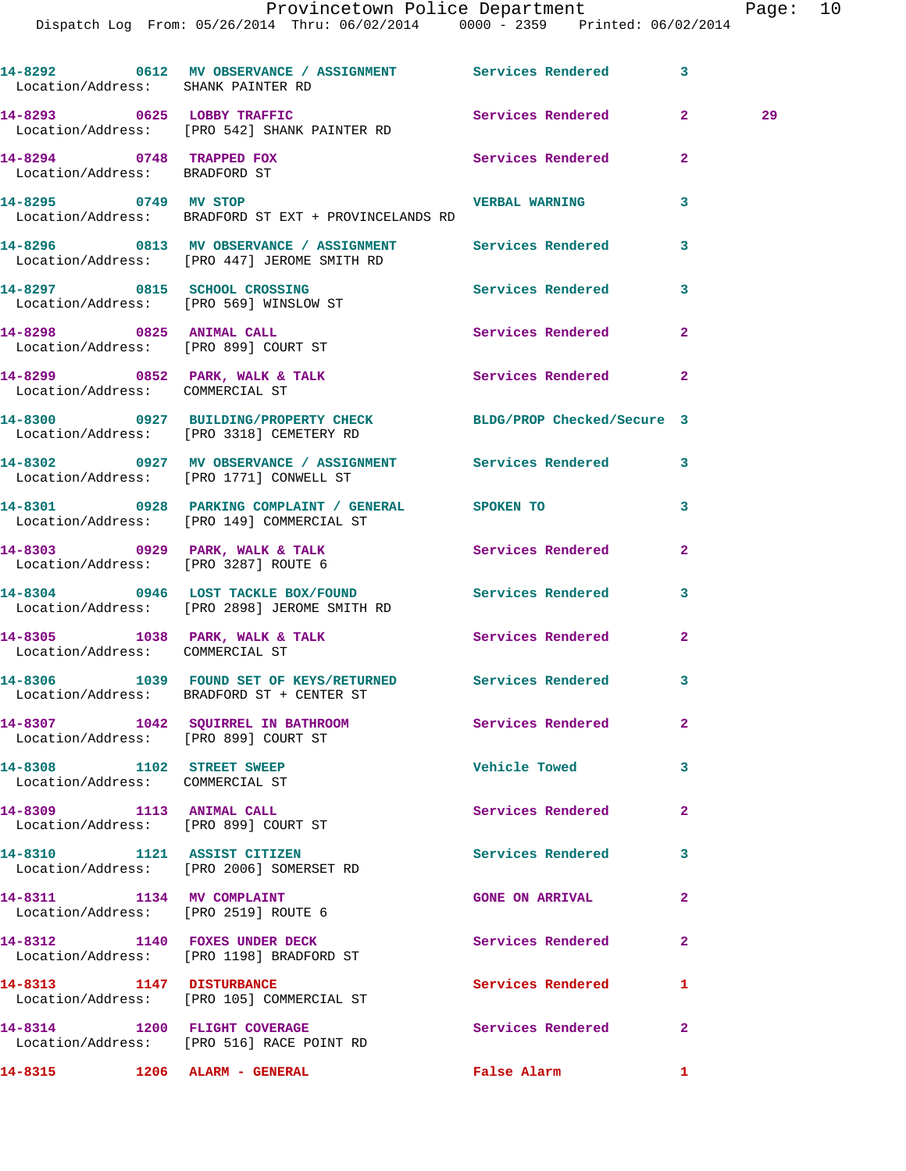|                                                              | 14-8292 0612 MV OBSERVANCE / ASSIGNMENT Services Rendered<br>Location/Address: SHANK PAINTER RD             |                          | 3            |    |
|--------------------------------------------------------------|-------------------------------------------------------------------------------------------------------------|--------------------------|--------------|----|
|                                                              | 14-8293 0625 LOBBY TRAFFIC<br>Location/Address: [PRO 542] SHANK PAINTER RD                                  | Services Rendered 2      |              | 29 |
| $14-8294$ 0748 TRAPPED FOX<br>Location/Address: BRADFORD ST  |                                                                                                             | Services Rendered        | $\mathbf{2}$ |    |
| 14-8295 0749 MV STOP                                         | Location/Address: BRADFORD ST EXT + PROVINCELANDS RD                                                        | <b>VERBAL WARNING</b>    | 3            |    |
|                                                              | 14-8296 6813 MV OBSERVANCE / ASSIGNMENT Services Rendered<br>Location/Address: [PRO 447] JEROME SMITH RD    |                          | 3            |    |
|                                                              | 14-8297 0815 SCHOOL CROSSING<br>Location/Address: [PRO 569] WINSLOW ST                                      | Services Rendered        | 3            |    |
|                                                              | 14-8298 0825 ANIMAL CALL<br>Location/Address: [PRO 899] COURT ST                                            | Services Rendered        | $\mathbf{2}$ |    |
| Location/Address: COMMERCIAL ST                              | $14-8299$ 0852 PARK, WALK & TALK                                                                            | Services Rendered        | $\mathbf{2}$ |    |
|                                                              | 14-8300 0927 BUILDING/PROPERTY CHECK BLDG/PROP Checked/Secure 3<br>Location/Address: [PRO 3318] CEMETERY RD |                          |              |    |
|                                                              | 14-8302 0927 MV OBSERVANCE / ASSIGNMENT Services Rendered 3<br>Location/Address: [PRO 1771] CONWELL ST      |                          |              |    |
|                                                              | 14-8301 0928 PARKING COMPLAINT / GENERAL SPOKEN TO<br>Location/Address: [PRO 149] COMMERCIAL ST             |                          | 3            |    |
|                                                              | 14-8303 0929 PARK, WALK & TALK<br>Location/Address: [PRO 3287] ROUTE 6                                      | Services Rendered        | $\mathbf{2}$ |    |
|                                                              | 14-8304 0946 LOST TACKLE BOX/FOUND Services Rendered<br>Location/Address: [PRO 2898] JEROME SMITH RD        |                          | 3            |    |
| Location/Address: COMMERCIAL ST                              | 14-8305 1038 PARK, WALK & TALK                                                                              | Services Rendered        | $\mathbf{2}$ |    |
|                                                              | 14-8306 1039 FOUND SET OF KEYS/RETURNED Services Rendered 3<br>Location/Address: BRADFORD ST + CENTER ST    |                          |              |    |
|                                                              | 14-8307 1042 SQUIRREL IN BATHROOM<br>Location/Address: [PRO 899] COURT ST                                   | Services Rendered        | 2            |    |
| 14-8308 1102 STREET SWEEP<br>Location/Address: COMMERCIAL ST |                                                                                                             | <b>Vehicle Towed</b>     | 3            |    |
|                                                              | 14-8309 1113 ANIMAL CALL<br>Location/Address: [PRO 899] COURT ST                                            | Services Rendered        | $\mathbf{2}$ |    |
|                                                              | 14-8310 1121 ASSIST CITIZEN<br>Location/Address: [PRO 2006] SOMERSET RD                                     | <b>Services Rendered</b> | 3            |    |
| 14-8311 1134 MV COMPLAINT                                    | Location/Address: [PRO 2519] ROUTE 6                                                                        | <b>GONE ON ARRIVAL</b>   | $\mathbf{2}$ |    |
|                                                              | 14-8312 1140 FOXES UNDER DECK<br>Location/Address: [PRO 1198] BRADFORD ST                                   | Services Rendered        | $\mathbf{2}$ |    |
|                                                              | 14-8313 1147 DISTURBANCE<br>Location/Address: [PRO 105] COMMERCIAL ST                                       | Services Rendered        | 1            |    |
|                                                              | 14-8314 1200 FLIGHT COVERAGE<br>Location/Address: [PRO 516] RACE POINT RD                                   | <b>Services Rendered</b> | $\mathbf{2}$ |    |
|                                                              |                                                                                                             | False Alarm              | 1            |    |
|                                                              |                                                                                                             |                          |              |    |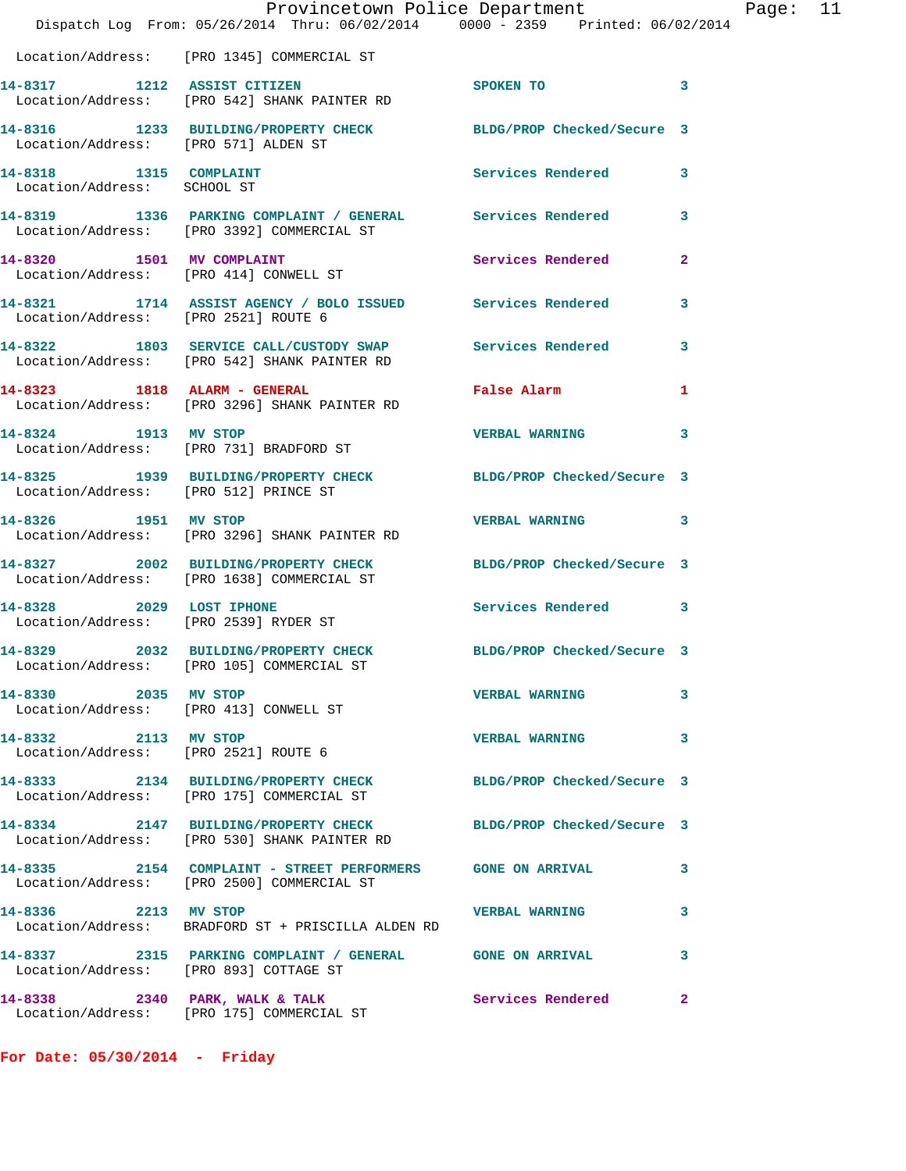|                                                                   | Provincetown Police Department<br>Dispatch Log From: 05/26/2014 Thru: 06/02/2014 0000 - 2359 Printed: 06/02/2014 |                            |              |
|-------------------------------------------------------------------|------------------------------------------------------------------------------------------------------------------|----------------------------|--------------|
|                                                                   | Location/Address: [PRO 1345] COMMERCIAL ST                                                                       |                            |              |
| 14-8317 1212 ASSIST CITIZEN                                       | Location/Address: [PRO 542] SHANK PAINTER RD                                                                     | <b>SPOKEN TO</b>           | 3            |
| Location/Address: [PRO 571] ALDEN ST                              | 14-8316 1233 BUILDING/PROPERTY CHECK BLDG/PROP Checked/Secure 3                                                  |                            |              |
| 14-8318 1315 COMPLAINT<br>Location/Address: SCHOOL ST             |                                                                                                                  | <b>Services Rendered</b>   | 3            |
|                                                                   | 14-8319 1336 PARKING COMPLAINT / GENERAL Services Rendered<br>Location/Address: [PRO 3392] COMMERCIAL ST         |                            | 3            |
| 14-8320 1501 MV COMPLAINT                                         | Location/Address: [PRO 414] CONWELL ST                                                                           | Services Rendered          | $\mathbf{2}$ |
| Location/Address: [PRO 2521] ROUTE 6                              | 14-8321 1714 ASSIST AGENCY / BOLO ISSUED Services Rendered                                                       |                            | 3            |
|                                                                   | 14-8322 1803 SERVICE CALL/CUSTODY SWAP<br>Location/Address: [PRO 542] SHANK PAINTER RD                           | <b>Services Rendered</b>   | 3            |
|                                                                   | 14-8323 1818 ALARM - GENERAL<br>Location/Address: [PRO 3296] SHANK PAINTER RD                                    | False Alarm                | 1            |
| 14-8324 1913 MV STOP                                              | Location/Address: [PRO 731] BRADFORD ST                                                                          | <b>VERBAL WARNING</b>      | 3            |
| Location/Address: [PRO 512] PRINCE ST                             | 14-8325 1939 BUILDING/PROPERTY CHECK                                                                             | BLDG/PROP Checked/Secure 3 |              |
| 14-8326 1951 MV STOP                                              | Location/Address: [PRO 3296] SHANK PAINTER RD                                                                    | <b>VERBAL WARNING</b>      | 3            |
|                                                                   | 14-8327 2002 BUILDING/PROPERTY CHECK<br>Location/Address: [PRO 1638] COMMERCIAL ST                               | BLDG/PROP Checked/Secure 3 |              |
| 14-8328 2029 LOST IPHONE<br>Location/Address: [PRO 2539] RYDER ST |                                                                                                                  | <b>Services Rendered</b>   | 3            |
|                                                                   | 14-8329 2032 BUILDING/PROPERTY CHECK<br>Location/Address: [PRO 105] COMMERCIAL ST                                | BLDG/PROP Checked/Secure 3 |              |
| 14-8330 2035 MV STOP                                              | Location/Address: [PRO 413] CONWELL ST                                                                           | <b>VERBAL WARNING</b>      | 3            |
| 14-8332 2113 MV STOP<br>Location/Address: [PRO 2521] ROUTE 6      |                                                                                                                  | <b>VERBAL WARNING</b>      | 3            |
|                                                                   | 14-8333 2134 BUILDING/PROPERTY CHECK BLDG/PROP Checked/Secure 3<br>Location/Address: [PRO 175] COMMERCIAL ST     |                            |              |
|                                                                   | 14-8334 2147 BUILDING/PROPERTY CHECK<br>Location/Address: [PRO 530] SHANK PAINTER RD                             | BLDG/PROP Checked/Secure 3 |              |
|                                                                   | 14-8335 2154 COMPLAINT - STREET PERFORMERS GONE ON ARRIVAL<br>Location/Address: [PRO 2500] COMMERCIAL ST         |                            | 3            |
| 14-8336 2213 MV STOP                                              | Location/Address: BRADFORD ST + PRISCILLA ALDEN RD                                                               | <b>VERBAL WARNING</b>      | 3            |
|                                                                   | 14-8337 2315 PARKING COMPLAINT / GENERAL GONE ON ARRIVAL<br>Location/Address: [PRO 893] COTTAGE ST               |                            | 3            |
|                                                                   | 14-8338 2340 PARK, WALK & TALK<br>Location/Address: [PRO 175] COMMERCIAL ST                                      | Services Rendered          | $\mathbf{2}$ |

**For Date: 05/30/2014 - Friday**

Page:  $11$ <br>2014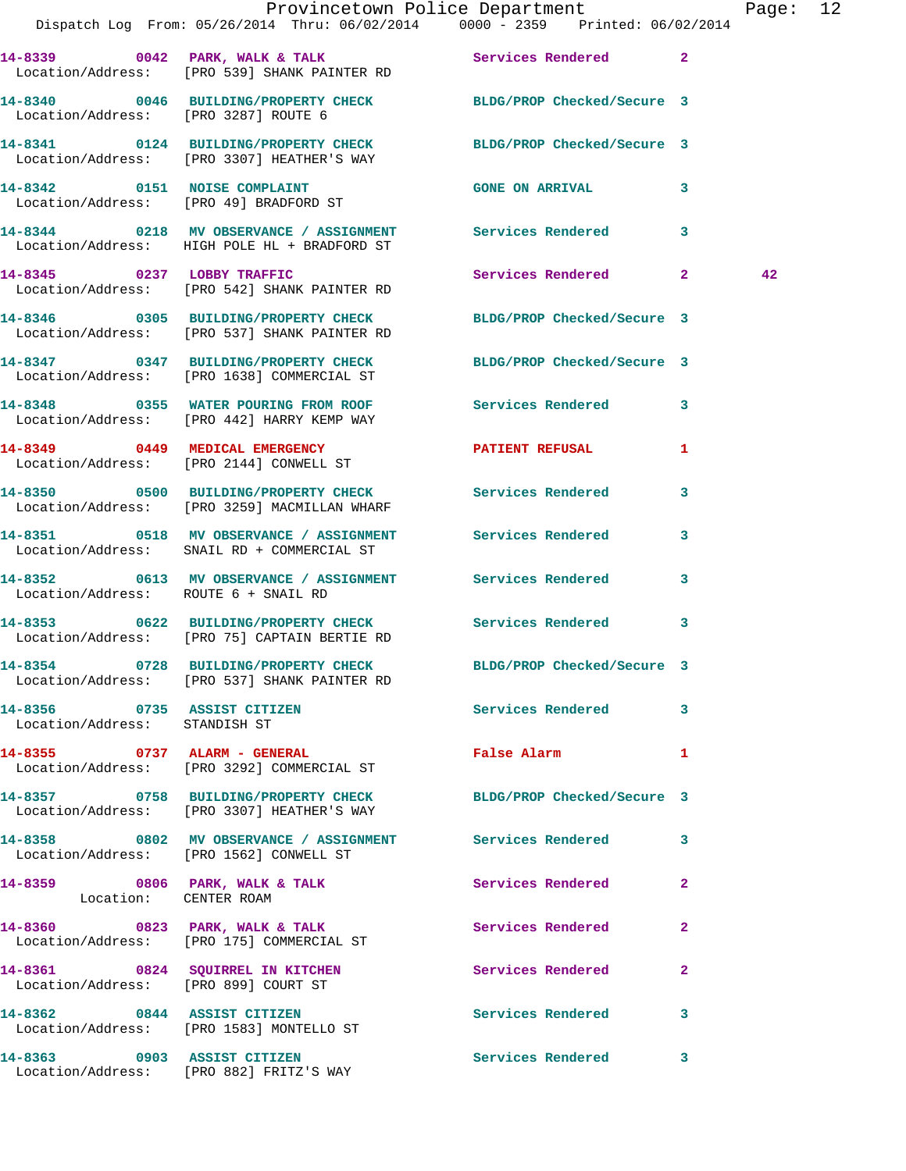|                                                              | Dispatch Log From: 05/26/2014 Thru: 06/02/2014 0000 - 2359 Printed: 06/02/2014                                  | Provincetown Police Department | Page: 12     |
|--------------------------------------------------------------|-----------------------------------------------------------------------------------------------------------------|--------------------------------|--------------|
|                                                              | 14-8339 0042 PARK, WALK & TALK 3 Services Rendered 2<br>Location/Address: [PRO 539] SHANK PAINTER RD            |                                |              |
| Location/Address: [PRO 3287] ROUTE 6                         | 14-8340 0046 BUILDING/PROPERTY CHECK BLDG/PROP Checked/Secure 3                                                 |                                |              |
|                                                              | 14-8341 0124 BUILDING/PROPERTY CHECK BLDG/PROP Checked/Secure 3<br>Location/Address: [PRO 3307] HEATHER'S WAY   |                                |              |
|                                                              | 14-8342 0151 NOISE COMPLAINT<br>Location/Address: [PRO 49] BRADFORD ST                                          | GONE ON ARRIVAL 3              |              |
|                                                              | 14-8344 0218 MV OBSERVANCE / ASSIGNMENT Services Rendered 3<br>Location/Address: HIGH POLE HL + BRADFORD ST     |                                |              |
|                                                              | 14-8345 0237 LOBBY TRAFFIC<br>Location/Address: [PRO 542] SHANK PAINTER RD                                      | Services Rendered 2            | 42           |
|                                                              | 14-8346 0305 BUILDING/PROPERTY CHECK BLDG/PROP Checked/Secure 3<br>Location/Address: [PRO 537] SHANK PAINTER RD |                                |              |
|                                                              | 14-8347 0347 BUILDING/PROPERTY CHECK BLDG/PROP Checked/Secure 3<br>Location/Address: [PRO 1638] COMMERCIAL ST   |                                |              |
|                                                              | 14-8348 0355 WATER POURING FROM ROOF Services Rendered 3<br>Location/Address: [PRO 442] HARRY KEMP WAY          |                                |              |
|                                                              | 14-8349 0449 MEDICAL EMERGENCY PATIENT REFUSAL<br>Location/Address: [PRO 2144] CONWELL ST                       |                                | 1            |
|                                                              | 14-8350 0500 BUILDING/PROPERTY CHECK Services Rendered 3<br>Location/Address: [PRO 3259] MACMILLAN WHARF        |                                |              |
|                                                              | 14-8351 0518 MV OBSERVANCE / ASSIGNMENT Services Rendered 3<br>Location/Address: SNAIL RD + COMMERCIAL ST       |                                |              |
| Location/Address: ROUTE 6 + SNAIL RD                         | 14-8352 0613 MV OBSERVANCE / ASSIGNMENT Services Rendered 3                                                     |                                |              |
|                                                              | 14-8353 0622 BUILDING/PROPERTY CHECK Services Rendered 3<br>Location/Address: [PRO 75] CAPTAIN BERTIE RD        |                                |              |
|                                                              | 14-8354 0728 BUILDING/PROPERTY CHECK BLDG/PROP Checked/Secure 3<br>Location/Address: [PRO 537] SHANK PAINTER RD |                                |              |
| 14-8356 0735 ASSIST CITIZEN<br>Location/Address: STANDISH ST |                                                                                                                 | Services Rendered 3            |              |
|                                                              | 14-8355 0737 ALARM - GENERAL<br>Location/Address: [PRO 3292] COMMERCIAL ST                                      | False Alarm 1                  |              |
|                                                              | 14-8357 0758 BUILDING/PROPERTY CHECK BLDG/PROP Checked/Secure 3<br>Location/Address: [PRO 3307] HEATHER'S WAY   |                                |              |
|                                                              | 14-8358 0802 MV OBSERVANCE / ASSIGNMENT Services Rendered 3<br>Location/Address: [PRO 1562] CONWELL ST          |                                |              |
| Location: CENTER ROAM                                        | 14-8359 0806 PARK, WALK & TALK                                                                                  | Services Rendered              | $\mathbf{2}$ |
|                                                              | 14-8360 0823 PARK, WALK & TALK<br>Location/Address: [PRO 175] COMMERCIAL ST                                     | Services Rendered              | $\mathbf{2}$ |
| Location/Address: [PRO 899] COURT ST                         | 14-8361 0824 SQUIRREL IN KITCHEN                                                                                | <b>Services Rendered</b>       | $\mathbf{2}$ |
|                                                              | 14-8362 0844 ASSIST CITIZEN<br>Location/Address: [PRO 1583] MONTELLO ST                                         | Services Rendered 3            |              |
|                                                              | 14-8363 0903 ASSIST CITIZEN<br>Location/Address: [PRO 882] FRITZ'S WAY                                          | Services Rendered 3            |              |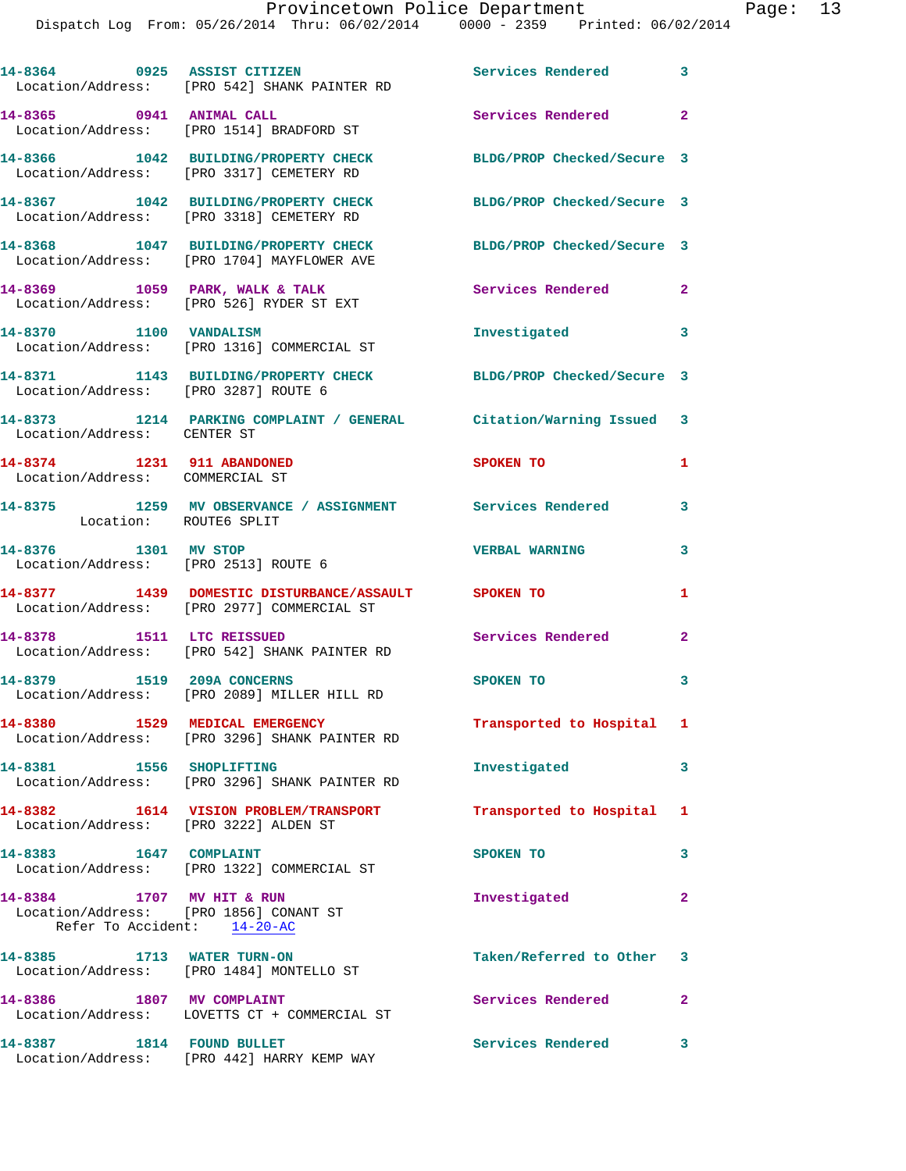| 14-8364 0925 ASSIST CITIZEN                                                                        | Location/Address: [PRO 542] SHANK PAINTER RD                                                            | Services Rendered 3        |                         |
|----------------------------------------------------------------------------------------------------|---------------------------------------------------------------------------------------------------------|----------------------------|-------------------------|
| 14-8365 0941 ANIMAL CALL                                                                           | Location/Address: [PRO 1514] BRADFORD ST                                                                | Services Rendered 2        |                         |
|                                                                                                    | 14-8366 1042 BUILDING/PROPERTY CHECK<br>Location/Address: [PRO 3317] CEMETERY RD                        | BLDG/PROP Checked/Secure 3 |                         |
|                                                                                                    | 14-8367 1042 BUILDING/PROPERTY CHECK<br>Location/Address: [PRO 3318] CEMETERY RD                        | BLDG/PROP Checked/Secure 3 |                         |
|                                                                                                    | 14-8368 1047 BUILDING/PROPERTY CHECK<br>Location/Address: [PRO 1704] MAYFLOWER AVE                      | BLDG/PROP Checked/Secure 3 |                         |
|                                                                                                    | $14-8369$ 1059 PARK, WALK & TALK<br>Location/Address: [PRO 526] RYDER ST EXT                            | Services Rendered          | $\mathbf{2}$            |
| 14-8370 1100 VANDALISM                                                                             | Location/Address: [PRO 1316] COMMERCIAL ST                                                              | Investigated               | $\overline{\mathbf{3}}$ |
| Location/Address: [PRO 3287] ROUTE 6                                                               | 14-8371 1143 BUILDING/PROPERTY CHECK                                                                    | BLDG/PROP Checked/Secure 3 |                         |
| Location/Address: CENTER ST                                                                        | 14-8373 1214 PARKING COMPLAINT / GENERAL Citation/Warning Issued 3                                      |                            |                         |
| 14-8374 1231 911 ABANDONED<br>Location/Address: COMMERCIAL ST                                      |                                                                                                         | SPOKEN TO                  | $\mathbf{1}$            |
| Location: ROUTE6 SPLIT                                                                             | 14-8375 1259 MV OBSERVANCE / ASSIGNMENT Services Rendered                                               |                            | 3                       |
| 14-8376 1301 MV STOP<br>Location/Address: [PRO 2513] ROUTE 6                                       |                                                                                                         | <b>VERBAL WARNING</b>      | 3                       |
|                                                                                                    | 14-8377   1439   DOMESTIC DISTURBANCE/ASSAULT   SPOKEN TO<br>Location/Address: [PRO 2977] COMMERCIAL ST |                            | 1                       |
| 14-8378 1511 LTC REISSUED                                                                          | Location/Address: [PRO 542] SHANK PAINTER RD                                                            | Services Rendered          | $\mathbf{2}$            |
|                                                                                                    | 14-8379 1519 209A CONCERNS<br>Location/Address: [PRO 2089] MILLER HILL RD                               | SPOKEN TO                  | $\overline{\mathbf{3}}$ |
|                                                                                                    | 14-8380 1529 MEDICAL EMERGENCY<br>Location/Address: [PRO 3296] SHANK PAINTER RD                         | Transported to Hospital 1  |                         |
| 14-8381 1556 SHOPLIFTING                                                                           | Location/Address: [PRO 3296] SHANK PAINTER RD                                                           | Investigated               | 3                       |
| Location/Address: [PRO 3222] ALDEN ST                                                              | 14-8382 1614 VISION PROBLEM/TRANSPORT                                                                   | Transported to Hospital 1  |                         |
| 14-8383    1647    COMPLAINT                                                                       | Location/Address: [PRO 1322] COMMERCIAL ST                                                              | SPOKEN TO                  | 3                       |
| 14-8384 1707 MV HIT & RUN<br>Location/Address: [PRO 1856] CONANT ST<br>Refer To Accident: 14-20-AC |                                                                                                         | Investigated               | $\mathbf{2}$            |
| 14-8385 1713 WATER TURN-ON                                                                         | Location/Address: [PRO 1484] MONTELLO ST                                                                | Taken/Referred to Other 3  |                         |
| 14-8386 1807 MV COMPLAINT                                                                          | Location/Address: LOVETTS CT + COMMERCIAL ST                                                            | Services Rendered          | $\mathbf{2}$            |
| 14-8387 1814 FOUND BULLET                                                                          | Location/Address: [PRO 442] HARRY KEMP WAY                                                              | Services Rendered          | 3                       |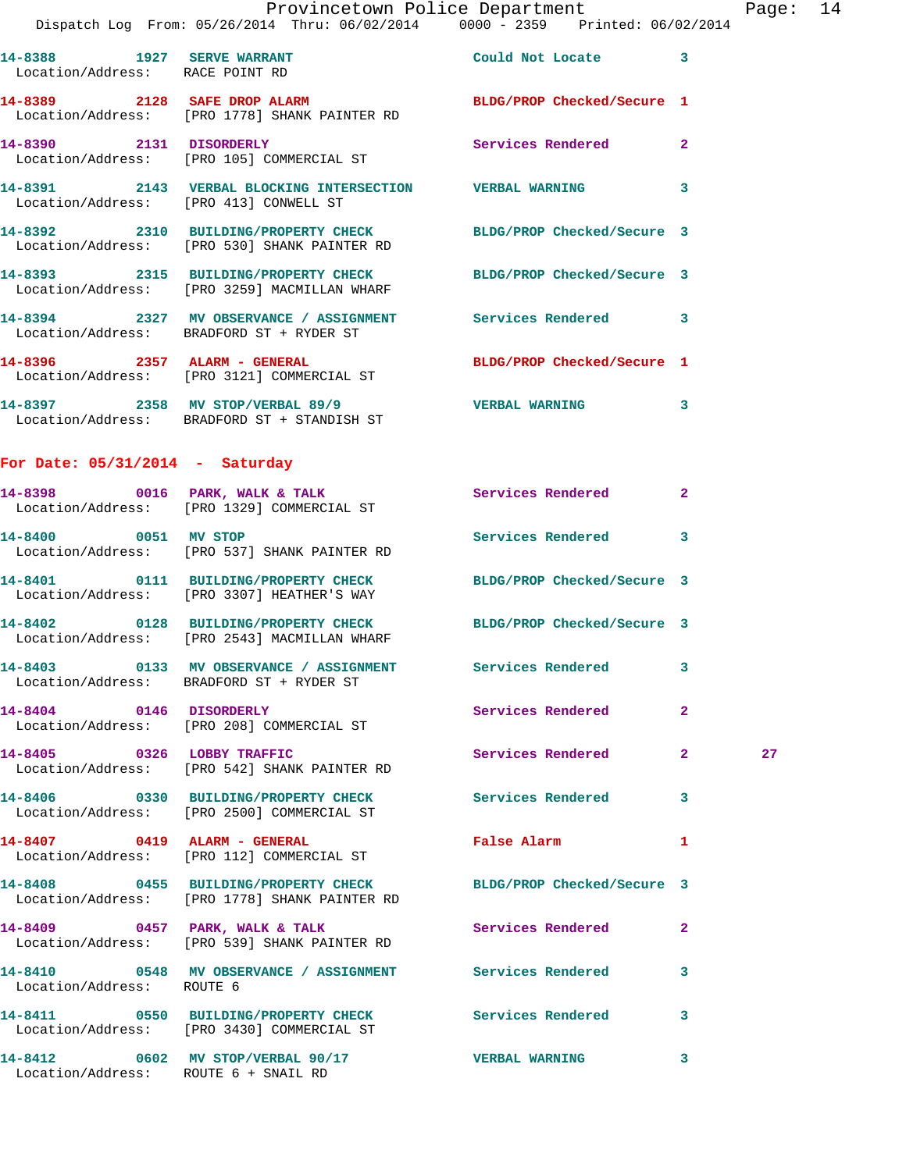Location/Address: [PRO 1778] SHANK PAINTER RD

Location/Address: [PRO 105] COMMERCIAL ST

Location/Address: [PRO 413] CONWELL ST

Location/Address: BRADFORD ST + RYDER ST

Location/Address: [PRO 3121] COMMERCIAL ST

Location/Address: BRADFORD ST + STANDISH ST

## **For Date: 05/31/2014 - Saturday**

| 14-0090 VUID PARR, WALK & IALK<br>Location/Address: [PRO 1329] COMMERCIAL ST                                     | Services Rendered        |                         |    |
|------------------------------------------------------------------------------------------------------------------|--------------------------|-------------------------|----|
| 14-8400 0051 MV STOP<br>Location/Address: [PRO 537] SHANK PAINTER RD                                             | Services Rendered 3      |                         |    |
| 14-8401   0111 BUILDING/PROPERTY CHECK BLDG/PROP Checked/Secure 3<br>Location/Address: [PRO 3307] HEATHER'S WAY  |                          |                         |    |
| 14-8402 0128 BUILDING/PROPERTY CHECK BLDG/PROP Checked/Secure 3<br>Location/Address: [PRO 2543] MACMILLAN WHARF  |                          |                         |    |
| Location/Address: BRADFORD ST + RYDER ST                                                                         |                          | $\overline{\mathbf{3}}$ |    |
| 14-8404 0146 DISORDERLY<br>Location/Address: [PRO 208] COMMERCIAL ST                                             | <b>Services Rendered</b> | $\overline{2}$          |    |
| 14-8405 0326 LOBBY TRAFFIC<br>Location/Address: [PRO 542] SHANK PAINTER RD                                       | Services Rendered        | $\overline{2}$          | 27 |
| 14-8406  0330 BUILDING/PROPERTY CHECK Services Rendered<br>Location/Address: [PRO 2500] COMMERCIAL ST            |                          | $\overline{\mathbf{3}}$ |    |
| 14-8407 0419 ALARM - GENERAL<br>Location/Address: [PRO 112] COMMERCIAL ST                                        | <b>False Alarm</b>       | $\mathbf{1}$            |    |
| 14-8408 0455 BUILDING/PROPERTY CHECK BLDG/PROP Checked/Secure 3<br>Location/Address: [PRO 1778] SHANK PAINTER RD |                          |                         |    |

**14-8409 0457 PARK, WALK & TALK Services Rendered 2**  Location/Address: [PRO 539] SHANK PAINTER RD

**14-8410 0548 MV OBSERVANCE / ASSIGNMENT Services Rendered 3**  Location/Address: ROUTE 6

**14-8411 0550 BUILDING/PROPERTY CHECK Services Rendered 3**  Location/Address: [PRO 3430] COMMERCIAL ST

Location/Address: ROUTE 6 + SNAIL RD

**14-8389 2128 SAFE DROP ALARM BLDG/PROP Checked/Secure 1** 

**14-8390 2131 DISORDERLY Services Rendered 2** 

**14-8391 2143 VERBAL BLOCKING INTERSECTION VERBAL WARNING 3** 

**14-8392 2310 BUILDING/PROPERTY CHECK BLDG/PROP Checked/Secure 3**  Location/Address: [PRO 530] SHANK PAINTER RD

**14-8393 2315 BUILDING/PROPERTY CHECK BLDG/PROP Checked/Secure 3**  Location/Address: [PRO 3259] MACMILLAN WHARF

**14-8394 2327 MV OBSERVANCE / ASSIGNMENT Services Rendered 3** 

**14-8396 2357 ALARM - GENERAL BLDG/PROP Checked/Secure 1** 

**14-8397 2358 MV STOP/VERBAL 89/9 VERBAL WARNING 3** 

**14-8398 0016 PARK, WALK & TALK Services Rendered 2** 

**14-8412 0602 MV STOP/VERBAL 90/17 VERBAL WARNING 3**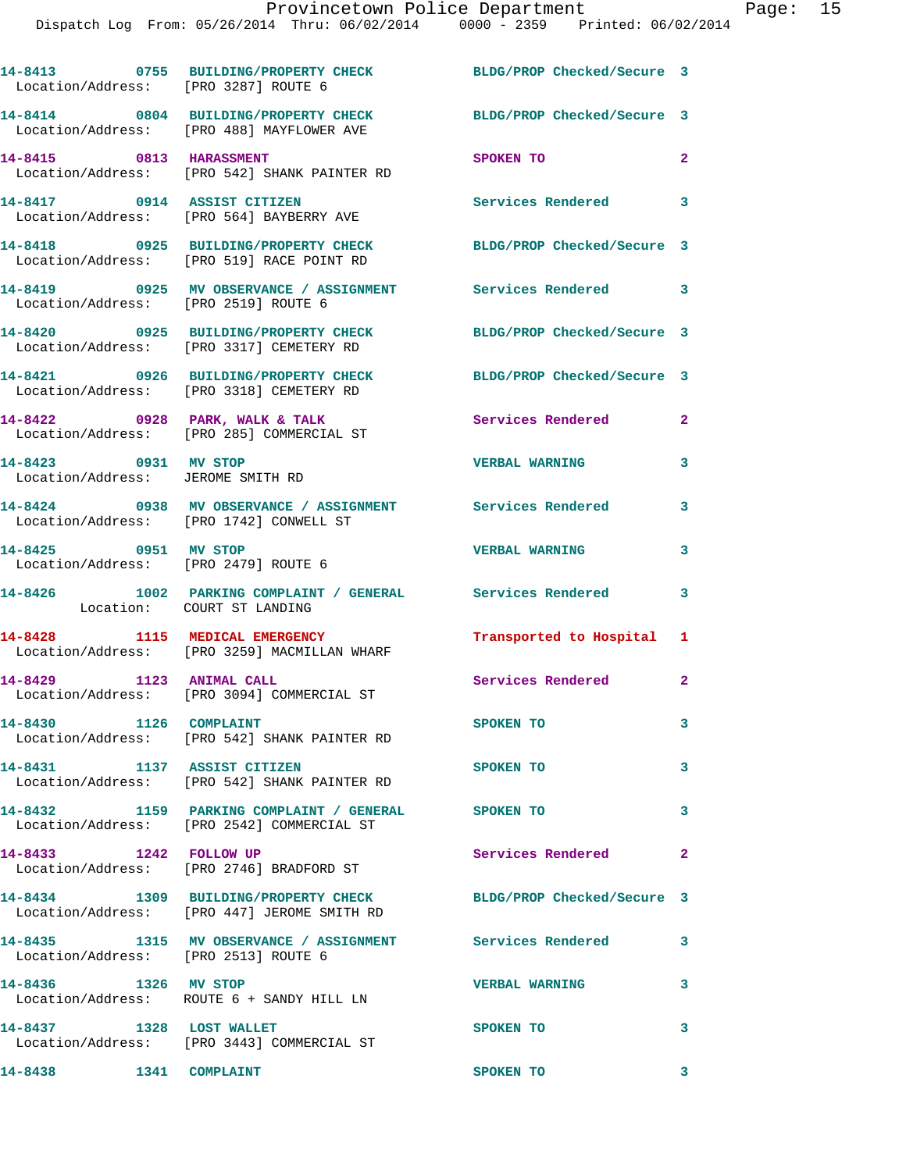| Location/Address: [PRO 3287] ROUTE 6                         | 14-8413 0755 BUILDING/PROPERTY CHECK                                                                           | BLDG/PROP Checked/Secure 3 |                |
|--------------------------------------------------------------|----------------------------------------------------------------------------------------------------------------|----------------------------|----------------|
|                                                              | 14-8414 0804 BUILDING/PROPERTY CHECK<br>Location/Address: [PRO 488] MAYFLOWER AVE                              | BLDG/PROP Checked/Secure 3 |                |
| 14-8415 0813 HARASSMENT                                      | Location/Address: [PRO 542] SHANK PAINTER RD                                                                   | SPOKEN TO                  | $\overline{a}$ |
| 14-8417 0914 ASSIST CITIZEN                                  | Location/Address: [PRO 564] BAYBERRY AVE                                                                       | Services Rendered 3        |                |
|                                                              | 14-8418 0925 BUILDING/PROPERTY CHECK<br>Location/Address: [PRO 519] RACE POINT RD                              | BLDG/PROP Checked/Secure 3 |                |
| Location/Address: [PRO 2519] ROUTE 6                         | 14-8419 0925 MV OBSERVANCE / ASSIGNMENT Services Rendered 3                                                    |                            |                |
|                                                              | 14-8420 0925 BUILDING/PROPERTY CHECK<br>Location/Address: [PRO 3317] CEMETERY RD                               | BLDG/PROP Checked/Secure 3 |                |
|                                                              | 14-8421 0926 BUILDING/PROPERTY CHECK<br>Location/Address: [PRO 3318] CEMETERY RD                               | BLDG/PROP Checked/Secure 3 |                |
|                                                              | 14-8422 0928 PARK, WALK & TALK<br>Location/Address: [PRO 285] COMMERCIAL ST                                    | <b>Services Rendered</b>   | $\mathbf{2}$   |
| 14-8423 0931 MV STOP<br>Location/Address: JEROME SMITH RD    |                                                                                                                | <b>VERBAL WARNING</b>      | 3              |
|                                                              | 14-8424 0938 MV OBSERVANCE / ASSIGNMENT Services Rendered<br>Location/Address: [PRO 1742] CONWELL ST           |                            | 3              |
| 14-8425 0951 MV STOP<br>Location/Address: [PRO 2479] ROUTE 6 |                                                                                                                | <b>VERBAL WARNING</b>      | 3              |
| Location: COURT ST LANDING                                   | 14-8426 1002 PARKING COMPLAINT / GENERAL Services Rendered                                                     |                            | 3              |
|                                                              | 14-8428 1115 MEDICAL EMERGENCY<br>Location/Address: [PRO 3259] MACMILLAN WHARF                                 | Transported to Hospital 1  |                |
|                                                              | 14-8429 1123 ANIMAL CALL<br>Location/Address: [PRO 3094] COMMERCIAL ST                                         | Services Rendered 2        |                |
| 14-8430 1126 COMPLAINT                                       | Location/Address: [PRO 542] SHANK PAINTER RD                                                                   | SPOKEN TO                  |                |
| 14-8431 1137 ASSIST CITIZEN                                  | Location/Address: [PRO 542] SHANK PAINTER RD                                                                   | SPOKEN TO                  | 3              |
|                                                              | 14-8432 1159 PARKING COMPLAINT / GENERAL SPOKEN TO<br>Location/Address: [PRO 2542] COMMERCIAL ST               |                            | 3              |
| 14-8433 1242 FOLLOW UP                                       | Location/Address: [PRO 2746] BRADFORD ST                                                                       | Services Rendered          | $\mathbf{2}$   |
|                                                              | 14-8434 1309 BUILDING/PROPERTY CHECK BLDG/PROP Checked/Secure 3<br>Location/Address: [PRO 447] JEROME SMITH RD |                            |                |
| Location/Address: [PRO 2513] ROUTE 6                         | 14-8435 1315 MV OBSERVANCE / ASSIGNMENT Services Rendered                                                      |                            | 3              |
| 14-8436 1326 MV STOP                                         | Location/Address: ROUTE 6 + SANDY HILL LN                                                                      | <b>VERBAL WARNING</b>      | 3              |
| 14-8437 1328 LOST WALLET                                     | Location/Address: [PRO 3443] COMMERCIAL ST                                                                     | SPOKEN TO                  | 3              |
| 14-8438 1341 COMPLAINT                                       |                                                                                                                | SPOKEN TO                  | 3              |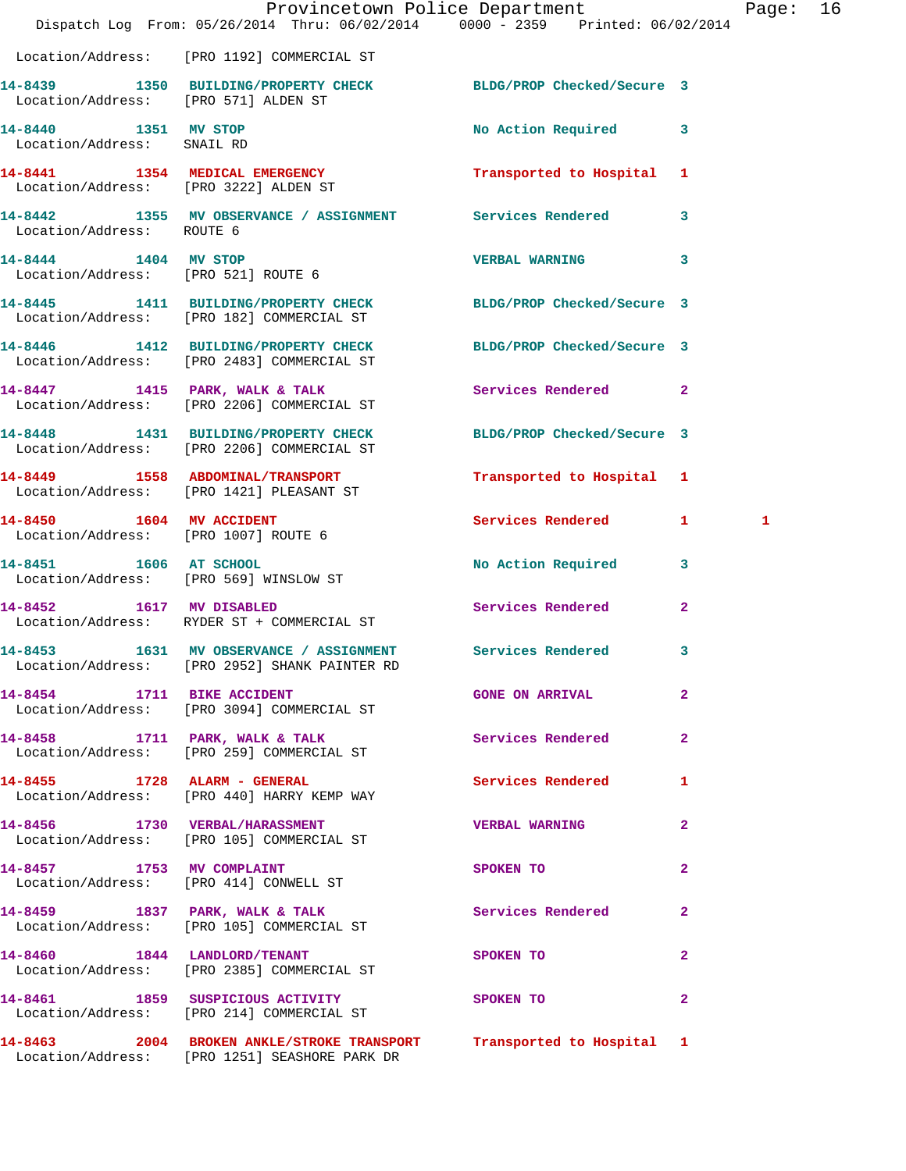|                                                                  | Dispatch Log From: 05/26/2014 Thru: 06/02/2014 0000 - 2359 Printed: 06/02/2014                                       | Provincetown Police Department |                         | Page: 16 |  |
|------------------------------------------------------------------|----------------------------------------------------------------------------------------------------------------------|--------------------------------|-------------------------|----------|--|
|                                                                  | Location/Address: [PRO 1192] COMMERCIAL ST                                                                           |                                |                         |          |  |
| Location/Address: [PRO 571] ALDEN ST                             | 14-8439 1350 BUILDING/PROPERTY CHECK BLDG/PROP Checked/Secure 3                                                      |                                |                         |          |  |
| 14-8440 1351 MV STOP<br>Location/Address: SNAIL RD               |                                                                                                                      | No Action Required 3           |                         |          |  |
|                                                                  | 14-8441 1354 MEDICAL EMERGENCY<br>Location/Address: [PRO 3222] ALDEN ST                                              | Transported to Hospital 1      |                         |          |  |
| Location/Address: ROUTE 6                                        | 14-8442 1355 MV OBSERVANCE / ASSIGNMENT Services Rendered                                                            |                                | $\mathbf{3}$            |          |  |
| 14-8444 1404 MV STOP                                             | Location/Address: [PRO 521] ROUTE 6                                                                                  | VERBAL WARNING 3               |                         |          |  |
|                                                                  | 14-8445   1411   BUILDING/PROPERTY CHECK   BLDG/PROP Checked/Secure   3<br>Location/Address: [PRO 182] COMMERCIAL ST |                                |                         |          |  |
|                                                                  | 14-8446 1412 BUILDING/PROPERTY CHECK<br>Location/Address: [PRO 2483] COMMERCIAL ST                                   | BLDG/PROP Checked/Secure 3     |                         |          |  |
|                                                                  | 14-8447 1415 PARK, WALK & TALK<br>Location/Address: [PRO 2206] COMMERCIAL ST                                         | Services Rendered 2            |                         |          |  |
|                                                                  | 14-8448 1431 BUILDING/PROPERTY CHECK<br>Location/Address: [PRO 2206] COMMERCIAL ST                                   | BLDG/PROP Checked/Secure 3     |                         |          |  |
|                                                                  | 14-8449 1558 ABDOMINAL/TRANSPORT<br>Location/Address: [PRO 1421] PLEASANT ST                                         | Transported to Hospital 1      |                         |          |  |
| 14-8450 1604 MV ACCIDENT<br>Location/Address: [PRO 1007] ROUTE 6 |                                                                                                                      | Services Rendered 1            |                         | 1        |  |
| Location/Address: [PRO 569] WINSLOW ST                           | 14-8451 1606 AT SCHOOL                                                                                               | No Action Required             | $\overline{\mathbf{3}}$ |          |  |
| 14-8452 1617 MV DISABLED                                         | Location/Address: RYDER ST + COMMERCIAL ST                                                                           | Services Rendered              | $\overline{2}$          |          |  |
|                                                                  | 14-8453 1631 MV OBSERVANCE / ASSIGNMENT Services Rendered<br>Location/Address: [PRO 2952] SHANK PAINTER RD           |                                | $\mathbf{3}$            |          |  |
| 14-8454 1711 BIKE ACCIDENT                                       | Location/Address: [PRO 3094] COMMERCIAL ST                                                                           | <b>GONE ON ARRIVAL</b>         | $\mathbf{2}$            |          |  |
|                                                                  | 14-8458 1711 PARK, WALK & TALK<br>Location/Address: [PRO 259] COMMERCIAL ST                                          | Services Rendered              | $\mathbf{2}$            |          |  |
|                                                                  | 14-8455 1728 ALARM - GENERAL<br>Location/Address: [PRO 440] HARRY KEMP WAY                                           | Services Rendered              | 1                       |          |  |
|                                                                  | 14-8456 1730 VERBAL/HARASSMENT<br>Location/Address: [PRO 105] COMMERCIAL ST                                          | <b>VERBAL WARNING</b>          | $\mathbf{2}$            |          |  |
|                                                                  | 14-8457 1753 MV COMPLAINT<br>Location/Address: [PRO 414] CONWELL ST                                                  | SPOKEN TO                      | $\overline{a}$          |          |  |
|                                                                  | 14-8459 1837 PARK, WALK & TALK<br>Location/Address: [PRO 105] COMMERCIAL ST                                          | <b>Services Rendered</b>       | $\mathbf{2}$            |          |  |
|                                                                  | 14-8460 1844 LANDLORD/TENANT<br>Location/Address: [PRO 2385] COMMERCIAL ST                                           | SPOKEN TO                      | $\mathbf{2}$            |          |  |
|                                                                  | 14-8461 1859 SUSPICIOUS ACTIVITY<br>Location/Address: [PRO 214] COMMERCIAL ST                                        | SPOKEN TO                      | $\overline{a}$          |          |  |
|                                                                  | 14-8463 2004 BROKEN ANKLE/STROKE TRANSPORT<br>Location/Address: [PRO 1251] SEASHORE PARK DR                          | Transported to Hospital 1      |                         |          |  |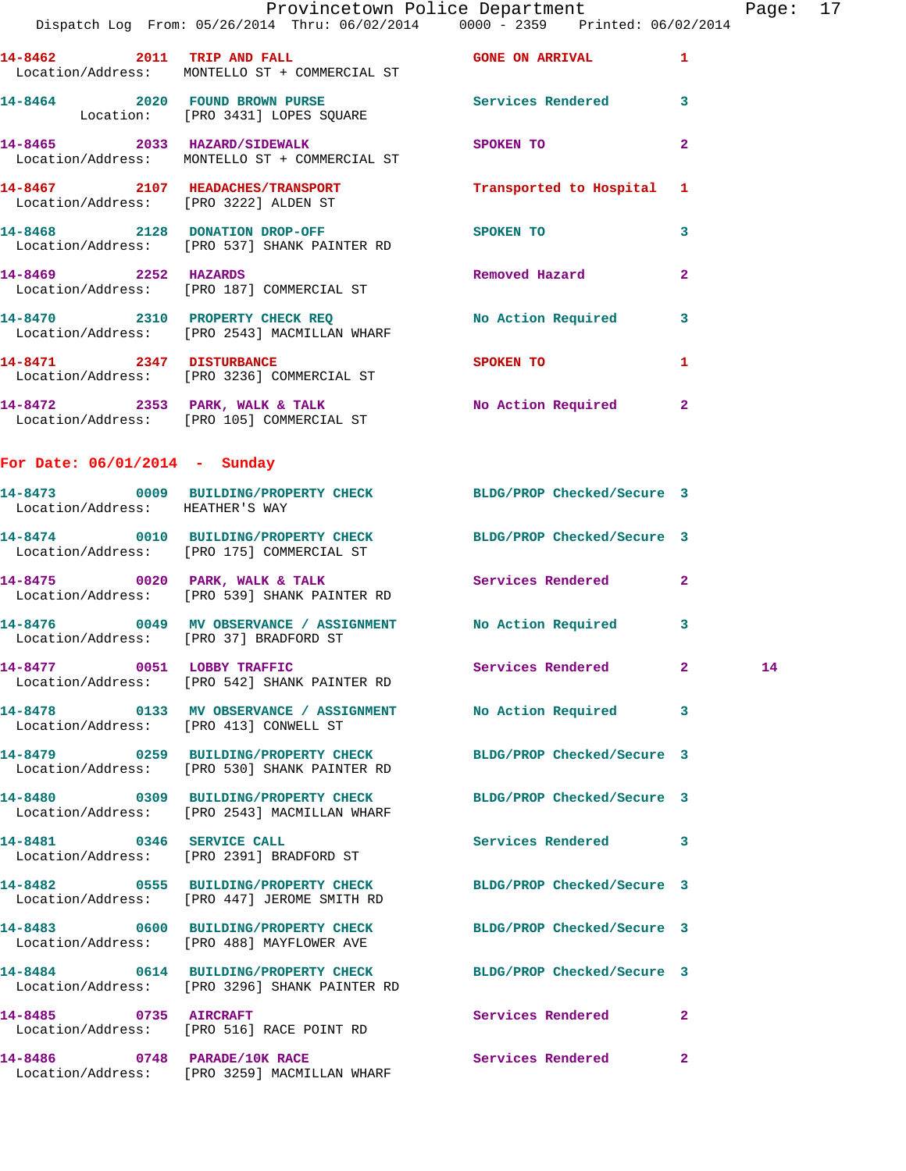|                                        | Provincetown Police Department Page: 17<br>Dispatch Log From: 05/26/2014 Thru: 06/02/2014   0000 - 2359   Printed: 06/02/2014 |                                         |              |                 |  |
|----------------------------------------|-------------------------------------------------------------------------------------------------------------------------------|-----------------------------------------|--------------|-----------------|--|
|                                        | 14-8462 2011 TRIP AND FALL GONE ON ARRIVAL 1<br>Location/Address: MONTELLO ST + COMMERCIAL ST                                 |                                         |              |                 |  |
|                                        | 14-8464 2020 FOUND BROWN PURSE Services Rendered 3<br>Location: [PRO 3431] LOPES SQUARE                                       |                                         |              |                 |  |
|                                        | 14-8465 2033 HAZARD/SIDEWALK<br>Location/Address: MONTELLO ST + COMMERCIAL ST                                                 | SPOKEN TO DESCRIPTION OF REAL PROPERTY. | $\mathbf{2}$ |                 |  |
|                                        |                                                                                                                               |                                         |              |                 |  |
|                                        |                                                                                                                               | SPOKEN TO                               | 3            |                 |  |
|                                        | 14-8469 2252 HAZARDS Removed Hazard<br>Location/Address: [PRO 187] COMMERCIAL ST                                              |                                         | $\mathbf{2}$ |                 |  |
|                                        | 14-8470 2310 PROPERTY CHECK REQ No Action Required 3<br>Location/Address: [PRO 2543] MACMILLAN WHARF                          |                                         |              |                 |  |
|                                        | 14-8471 2347 DISTURBANCE<br>Location/Address: [PRO 3236] COMMERCIAL ST                                                        | SPOKEN TO                               | 1            |                 |  |
|                                        | 14-8472 2353 PARK, WALK & TALK NO Action Required 2<br>Location/Address: [PRO 105] COMMERCIAL ST                              |                                         |              |                 |  |
| For Date: $06/01/2014$ - Sunday        |                                                                                                                               |                                         |              |                 |  |
| Location/Address: HEATHER'S WAY        | 14-8473 0009 BUILDING/PROPERTY CHECK BLDG/PROP Checked/Secure 3                                                               |                                         |              |                 |  |
|                                        | 14-8474 0010 BUILDING/PROPERTY CHECK BLDG/PROP Checked/Secure 3<br>Location/Address: [PRO 175] COMMERCIAL ST                  |                                         |              |                 |  |
|                                        | 14-8475 0020 PARK, WALK & TALK Services Rendered 2<br>Location/Address: [PRO 539] SHANK PAINTER RD                            |                                         |              |                 |  |
| Location/Address: [PRO 37] BRADFORD ST | 14-8476  0049 MV OBSERVANCE / ASSIGNMENT  No Action Required  3                                                               |                                         |              |                 |  |
|                                        | 14-8477 0051 LOBBY TRAFFIC<br>Location/Address: [PRO 542] SHANK PAINTER RD                                                    | Services Rendered 2                     |              | $\overline{14}$ |  |
|                                        | 14-8478 		 0133 MV OBSERVANCE / ASSIGNMENT 		 No Action Required 		 3<br>Location/Address: [PRO 413] CONWELL ST               |                                         |              |                 |  |
|                                        | 14-8479 0259 BUILDING/PROPERTY CHECK<br>Location/Address: [PRO 530] SHANK PAINTER RD                                          | BLDG/PROP Checked/Secure 3              |              |                 |  |
|                                        | 14-8480 0309 BUILDING/PROPERTY CHECK BLDG/PROP Checked/Secure 3<br>Location/Address: [PRO 2543] MACMILLAN WHARF               |                                         |              |                 |  |
| 14-8481 0346 SERVICE CALL              | Location/Address: [PRO 2391] BRADFORD ST                                                                                      | Services Rendered 3                     |              |                 |  |
|                                        | 14-8482 0555 BUILDING/PROPERTY CHECK BLDG/PROP Checked/Secure 3<br>Location/Address: [PRO 447] JEROME SMITH RD                |                                         |              |                 |  |
|                                        | 14-8483 0600 BUILDING/PROPERTY CHECK BLDG/PROP Checked/Secure 3<br>Location/Address: [PRO 488] MAYFLOWER AVE                  |                                         |              |                 |  |
|                                        | 14-8484 0614 BUILDING/PROPERTY CHECK BLDG/PROP Checked/Secure 3<br>Location/Address: [PRO 3296] SHANK PAINTER RD              |                                         |              |                 |  |
| 14-8485 0735 AIRCRAFT                  | Location/Address: [PRO 516] RACE POINT RD                                                                                     | Services Rendered                       | $\mathbf{2}$ |                 |  |
|                                        | $14-8486$ 0748 PARADE/ $10K$ RACE                                                                                             | Services Rendered                       | $\mathbf{2}$ |                 |  |

Location/Address: [PRO 3259] MACMILLAN WHARF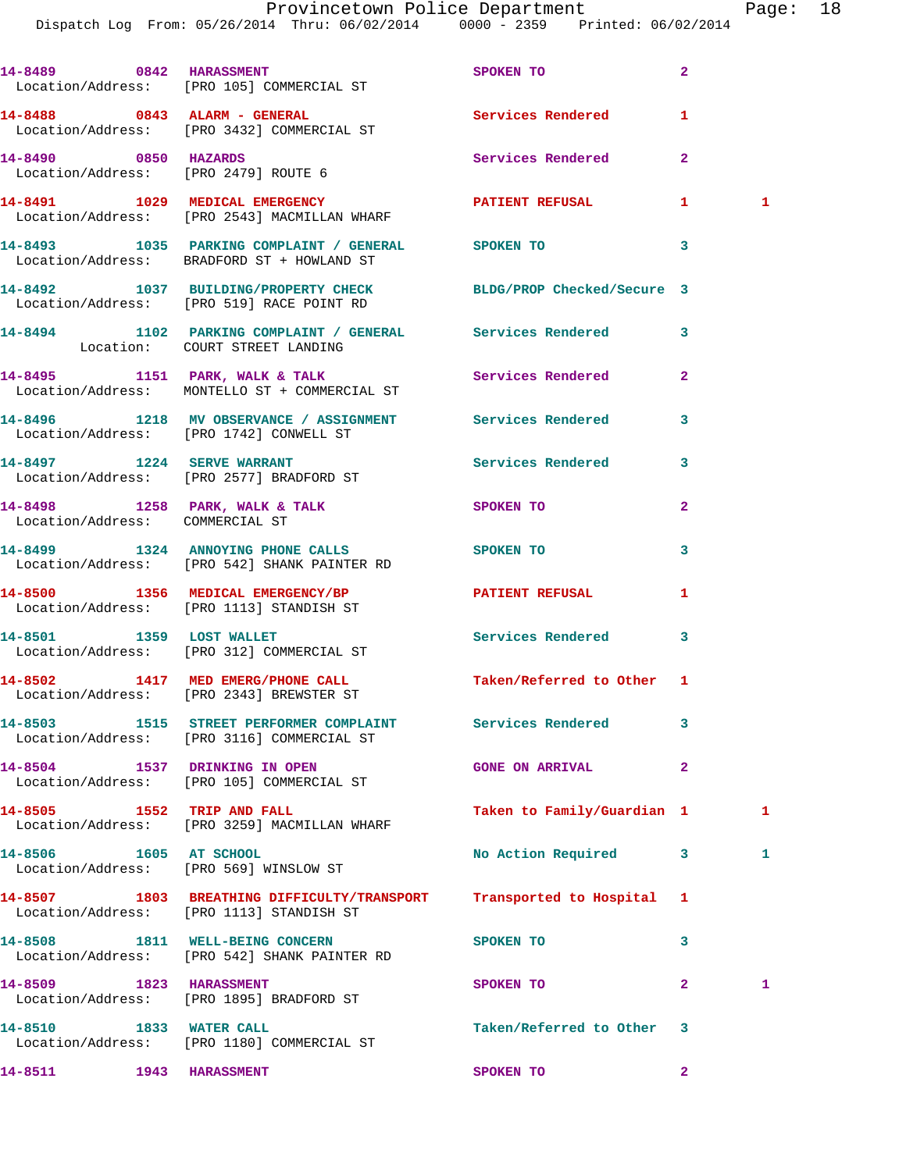|                                 | 14-8489 0842 HARASSMENT<br>Location/Address: [PRO 105] COMMERCIAL ST                                         | SPOKEN TO                  | $\overline{2}$ |   |
|---------------------------------|--------------------------------------------------------------------------------------------------------------|----------------------------|----------------|---|
|                                 | 14-8488 0843 ALARM - GENERAL<br>Location/Address: [PRO 3432] COMMERCIAL ST                                   | Services Rendered          | 1              |   |
| 14-8490 0850 HAZARDS            | Location/Address: [PRO 2479] ROUTE 6                                                                         | Services Rendered          | $\mathbf{2}$   |   |
|                                 | 14-8491 1029 MEDICAL EMERGENCY<br>Location/Address: [PRO 2543] MACMILLAN WHARF                               | PATIENT REFUSAL 1          |                | 1 |
|                                 | 14-8493 1035 PARKING COMPLAINT / GENERAL SPOKEN TO<br>Location/Address: BRADFORD ST + HOWLAND ST             | $\sim$ 3                   |                |   |
|                                 | 14-8492 1037 BUILDING/PROPERTY CHECK BLDG/PROP Checked/Secure 3<br>Location/Address: [PRO 519] RACE POINT RD |                            |                |   |
|                                 | 14-8494 1102 PARKING COMPLAINT / GENERAL Services Rendered<br>Location: COURT STREET LANDING                 |                            | 3              |   |
|                                 | 14-8495 1151 PARK, WALK & TALK<br>Location/Address: MONTELLO ST + COMMERCIAL ST                              | Services Rendered          | $\mathbf{2}$   |   |
|                                 | 14-8496 1218 MV OBSERVANCE / ASSIGNMENT Services Rendered<br>Location/Address: [PRO 1742] CONWELL ST         |                            | 3              |   |
|                                 | 14-8497 1224 SERVE WARRANT<br>Location/Address: [PRO 2577] BRADFORD ST                                       | Services Rendered 3        |                |   |
| Location/Address: COMMERCIAL ST | 14-8498 1258 PARK, WALK & TALK                                                                               | <b>SPOKEN TO</b>           | $\mathbf{2}$   |   |
|                                 | 14-8499 1324 ANNOYING PHONE CALLS SPOKEN TO<br>Location/Address: [PRO 542] SHANK PAINTER RD                  |                            | 3              |   |
|                                 | 14-8500 1356 MEDICAL EMERGENCY/BP PATIENT REFUSAL<br>Location/Address: [PRO 1113] STANDISH ST                |                            | 1              |   |
| 14-8501 1359 LOST WALLET        | Location/Address: [PRO 312] COMMERCIAL ST                                                                    | Services Rendered 3        |                |   |
|                                 | 14-8502 1417 MED EMERG/PHONE CALL Taken/Referred to Other 1<br>Location/Address: [PRO 2343] BREWSTER ST      |                            |                |   |
|                                 | 14-8503 1515 STREET PERFORMER COMPLAINT Services Rendered<br>Location/Address: [PRO 3116] COMMERCIAL ST      |                            | 3              |   |
|                                 | 14-8504 1537 DRINKING IN OPEN<br>Location/Address: [PRO 105] COMMERCIAL ST                                   | <b>GONE ON ARRIVAL</b>     | $\mathbf{2}$   |   |
| 14-8505 1552 TRIP AND FALL      | Location/Address: [PRO 3259] MACMILLAN WHARF                                                                 | Taken to Family/Guardian 1 |                | 1 |
| 14-8506 1605 AT SCHOOL          | Location/Address: [PRO 569] WINSLOW ST                                                                       | No Action Required         | 3              | 1 |
|                                 | 14-8507 1803 BREATHING DIFFICULTY/TRANSPORT<br>Location/Address: [PRO 1113] STANDISH ST                      | Transported to Hospital 1  |                |   |
|                                 | 14-8508 1811 WELL-BEING CONCERN<br>Location/Address: [PRO 542] SHANK PAINTER RD                              | SPOKEN TO                  | 3              |   |
| 14-8509 1823 HARASSMENT         | Location/Address: [PRO 1895] BRADFORD ST                                                                     | SPOKEN TO                  | $\mathbf{2}$   | 1 |
| 14-8510 1833 WATER CALL         | Location/Address: [PRO 1180] COMMERCIAL ST                                                                   | Taken/Referred to Other 3  |                |   |
| 14-8511 1943 HARASSMENT         |                                                                                                              | SPOKEN TO                  | $\mathbf{2}$   |   |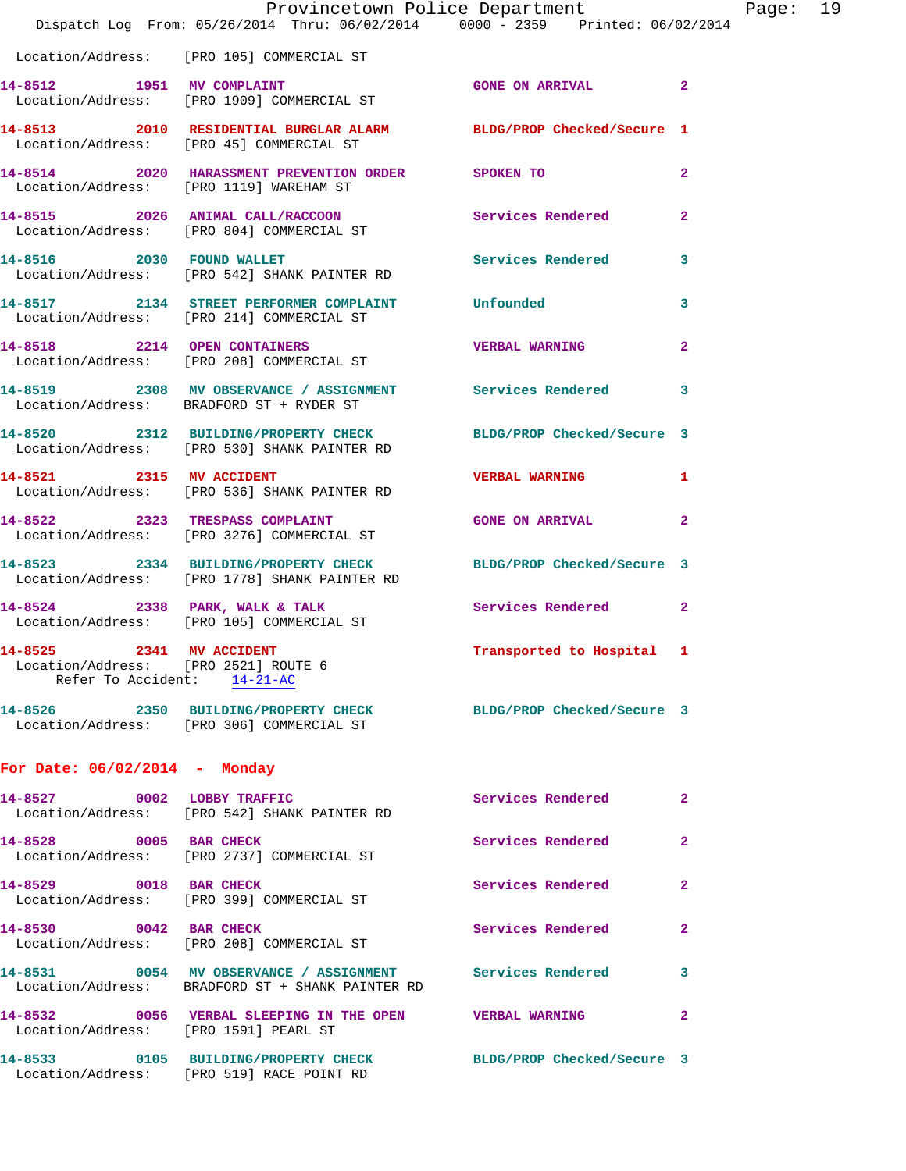|                                                                                                 | Provincetown Police Department<br>Dispatch Log From: 05/26/2014 Thru: 06/02/2014 0000 - 2359 Printed: 06/02/2014 |                           |                |
|-------------------------------------------------------------------------------------------------|------------------------------------------------------------------------------------------------------------------|---------------------------|----------------|
|                                                                                                 | Location/Address: [PRO 105] COMMERCIAL ST                                                                        |                           |                |
| 14-8512 1951 MV COMPLAINT                                                                       | Location/Address: [PRO 1909] COMMERCIAL ST                                                                       | <b>GONE ON ARRIVAL</b>    | $\overline{a}$ |
|                                                                                                 | 14-8513 2010 RESIDENTIAL BURGLAR ALARM BLDG/PROP Checked/Secure 1<br>Location/Address: [PRO 45] COMMERCIAL ST    |                           |                |
|                                                                                                 | 14-8514 2020 HARASSMENT PREVENTION ORDER SPOKEN TO<br>Location/Address: [PRO 1119] WAREHAM ST                    |                           | $\overline{a}$ |
|                                                                                                 | 14-8515 2026 ANIMAL CALL/RACCOON<br>Location/Address: [PRO 804] COMMERCIAL ST                                    | Services Rendered         | 2              |
| 14-8516 2030 FOUND WALLET                                                                       | Location/Address: [PRO 542] SHANK PAINTER RD                                                                     | Services Rendered         | 3              |
|                                                                                                 | 14-8517 2134 STREET PERFORMER COMPLAINT Unfounded<br>Location/Address: [PRO 214] COMMERCIAL ST                   |                           | 3              |
|                                                                                                 | 14-8518 2214 OPEN CONTAINERS<br>Location/Address: [PRO 208] COMMERCIAL ST                                        | <b>VERBAL WARNING</b>     | $\mathbf{2}$   |
|                                                                                                 | 14-8519 2308 MV OBSERVANCE / ASSIGNMENT Services Rendered<br>Location/Address: BRADFORD ST + RYDER ST            |                           | 3              |
|                                                                                                 | 14-8520 2312 BUILDING/PROPERTY CHECK BLDG/PROP Checked/Secure 3<br>Location/Address: [PRO 530] SHANK PAINTER RD  |                           |                |
|                                                                                                 | 14-8521 2315 MV ACCIDENT<br>Location/Address: [PRO 536] SHANK PAINTER RD                                         | <b>VERBAL WARNING</b>     | 1              |
| 14-8522 2323 TRESPASS COMPLAINT                                                                 | Location/Address: [PRO 3276] COMMERCIAL ST                                                                       | <b>GONE ON ARRIVAL</b>    | 2              |
|                                                                                                 | 14-8523 2334 BUILDING/PROPERTY CHECK BLDG/PROP Checked/Secure 3<br>Location/Address: [PRO 1778] SHANK PAINTER RD |                           |                |
|                                                                                                 | 14-8524 2338 PARK, WALK & TALK<br>Location/Address: [PRO 105] COMMERCIAL ST                                      | <b>Services Rendered</b>  | $\overline{2}$ |
| 14-8525 2341 MV ACCIDENT<br>Location/Address: [PRO 2521] ROUTE 6<br>Refer To Accident: 14-21-AC |                                                                                                                  | Transported to Hospital 1 |                |
|                                                                                                 | 14-8526 2350 BUILDING/PROPERTY CHECK BLDG/PROP Checked/Secure 3<br>Location/Address: [PRO 306] COMMERCIAL ST     |                           |                |
| For Date: 06/02/2014 - Monday                                                                   |                                                                                                                  |                           |                |
|                                                                                                 | 14-8527 0002 LOBBY TRAFFIC<br>Location/Address: [PRO 542] SHANK PAINTER RD                                       | Services Rendered         | $\mathbf{2}$   |
| 14-8528 0005 BAR CHECK                                                                          | Location/Address: [PRO 2737] COMMERCIAL ST                                                                       | Services Rendered         | $\overline{2}$ |
| 14-8529 0018 BAR CHECK                                                                          | Location/Address: [PRO 399] COMMERCIAL ST                                                                        | Services Rendered         | $\overline{2}$ |
| 14-8530 0042 BAR CHECK                                                                          | Location/Address: [PRO 208] COMMERCIAL ST                                                                        | Services Rendered         | $\mathbf{2}$   |
|                                                                                                 | 14-8531 0054 MV OBSERVANCE / ASSIGNMENT Services Rendered<br>Location/Address: BRADFORD ST + SHANK PAINTER RD    |                           | 3              |
| Location/Address: [PRO 1591] PEARL ST                                                           | 14-8532 0056 VERBAL SLEEPING IN THE OPEN VERBAL WARNING                                                          |                           | $\mathbf{2}$   |
|                                                                                                 | 14-8533 0105 BUILDING/PROPERTY CHECK BLDG/PROP Checked/Secure 3<br>Location/Address: [PRO 519] RACE POINT RD     |                           |                |
|                                                                                                 |                                                                                                                  |                           |                |

Page: 19